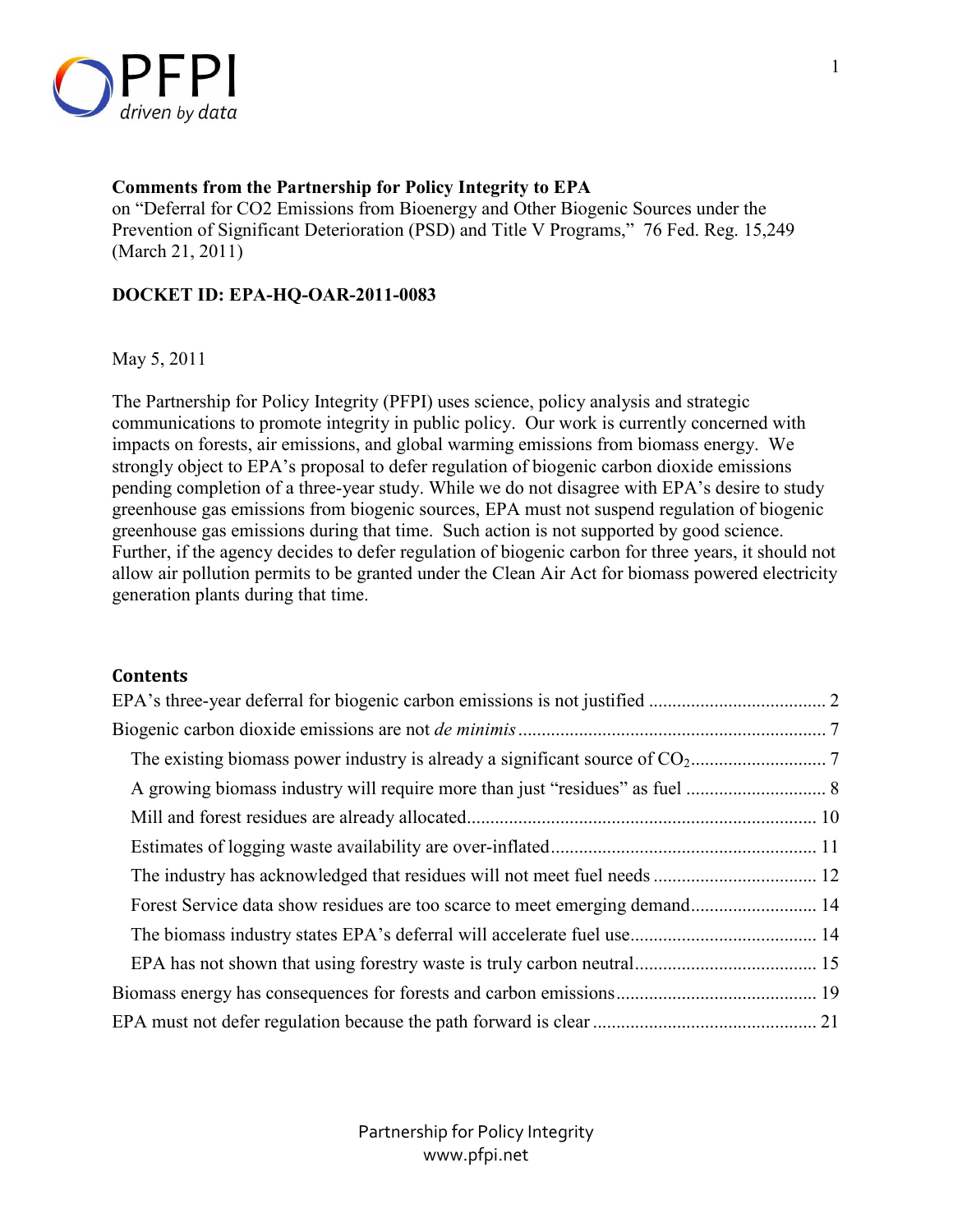

### **Comments from the Partnership for Policy Integrity to EPA**

on "Deferral for CO2 Emissions from Bioenergy and Other Biogenic Sources under the Prevention of Significant Deterioration (PSD) and Title V Programs," 76 Fed. Reg. 15,249 (March 21, 2011)

### **DOCKET ID: EPA-HQ-OAR-2011-0083**

May 5, 2011

The Partnership for Policy Integrity (PFPI) uses science, policy analysis and strategic communications to promote integrity in public policy. Our work is currently concerned with impacts on forests, air emissions, and global warming emissions from biomass energy. We strongly object to EPA's proposal to defer regulation of biogenic carbon dioxide emissions pending completion of a three-year study. While we do not disagree with EPA's desire to study greenhouse gas emissions from biogenic sources, EPA must not suspend regulation of biogenic greenhouse gas emissions during that time. Such action is not supported by good science. Further, if the agency decides to defer regulation of biogenic carbon for three years, it should not allow air pollution permits to be granted under the Clean Air Act for biomass powered electricity generation plants during that time.

### **Contents**

| Forest Service data show residues are too scarce to meet emerging demand 14 |  |
|-----------------------------------------------------------------------------|--|
|                                                                             |  |
|                                                                             |  |
|                                                                             |  |
|                                                                             |  |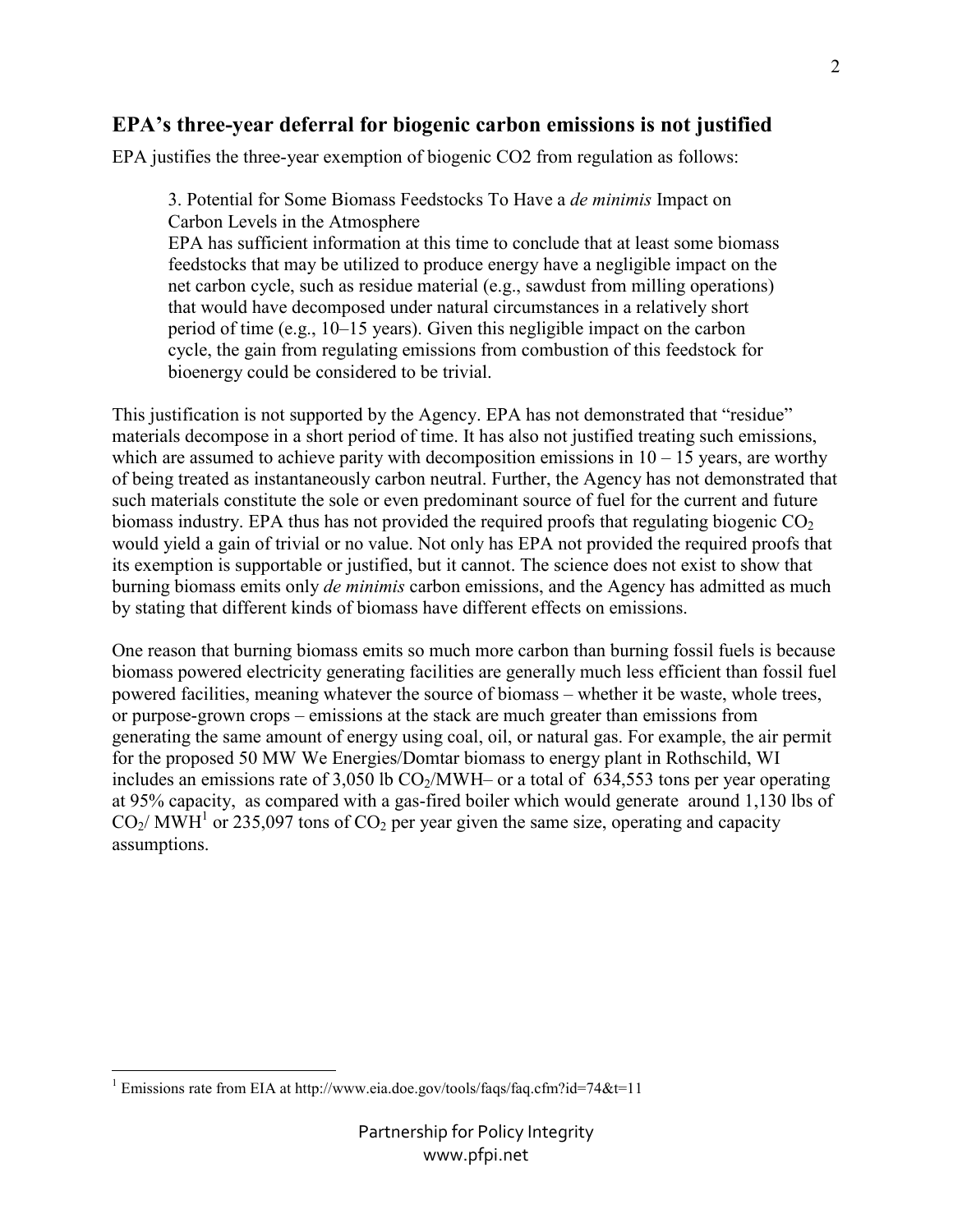## **EPA's three-year deferral for biogenic carbon emissions is not justified**

EPA justifies the three-year exemption of biogenic CO2 from regulation as follows:

3. Potential for Some Biomass Feedstocks To Have a *de minimis* Impact on Carbon Levels in the Atmosphere

EPA has sufficient information at this time to conclude that at least some biomass feedstocks that may be utilized to produce energy have a negligible impact on the net carbon cycle, such as residue material (e.g., sawdust from milling operations) that would have decomposed under natural circumstances in a relatively short period of time (e.g., 10–15 years). Given this negligible impact on the carbon cycle, the gain from regulating emissions from combustion of this feedstock for bioenergy could be considered to be trivial.

This justification is not supported by the Agency. EPA has not demonstrated that "residue" materials decompose in a short period of time. It has also not justified treating such emissions, which are assumed to achieve parity with decomposition emissions in  $10 - 15$  years, are worthy of being treated as instantaneously carbon neutral. Further, the Agency has not demonstrated that such materials constitute the sole or even predominant source of fuel for the current and future biomass industry. EPA thus has not provided the required proofs that regulating biogenic  $CO<sub>2</sub>$ would yield a gain of trivial or no value. Not only has EPA not provided the required proofs that its exemption is supportable or justified, but it cannot. The science does not exist to show that burning biomass emits only *de minimis* carbon emissions, and the Agency has admitted as much by stating that different kinds of biomass have different effects on emissions.

One reason that burning biomass emits so much more carbon than burning fossil fuels is because biomass powered electricity generating facilities are generally much less efficient than fossil fuel powered facilities, meaning whatever the source of biomass – whether it be waste, whole trees, or purpose-grown crops – emissions at the stack are much greater than emissions from generating the same amount of energy using coal, oil, or natural gas. For example, the air permit for the proposed 50 MW We Energies/Domtar biomass to energy plant in Rothschild, WI includes an emissions rate of 3,050 lb  $CO<sub>2</sub>/MWH$ – or a total of 634,553 tons per year operating at 95% capacity, as compared with a gas-fired boiler which would generate around 1,130 lbs of  $CO<sub>2</sub>/MWH<sup>1</sup>$  or 235,097 tons of  $CO<sub>2</sub>$  per year given the same size, operating and capacity assumptions.

<sup>1&</sup>lt;br>
<sup>1</sup> Emissions rate from EIA at http://www.eia.doe.gov/tools/faqs/faq.cfm?id=74&t=11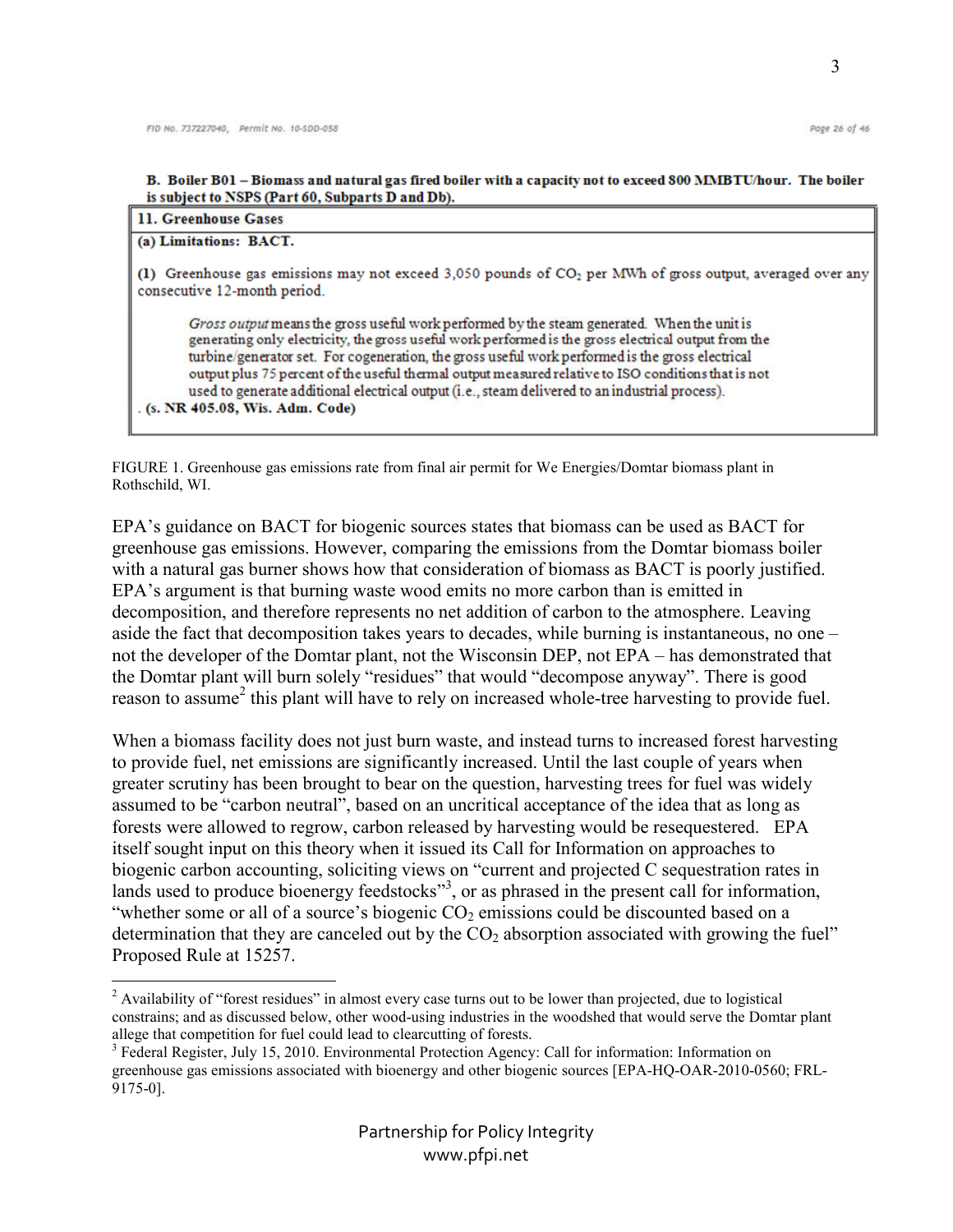B. Boiler B01 - Biomass and natural gas fired boiler with a capacity not to exceed 800 MMBTU/hour. The boiler is subject to NSPS (Part 60, Subparts D and Db).

| 11. Greenhouse Gases |  |
|----------------------|--|
|----------------------|--|

#### (a) Limitations: BACT.

<u>.</u>

(1) Greenhouse gas emissions may not exceed 3,050 pounds of CO<sub>2</sub> per MWh of gross output, averaged over any consecutive 12-month period.

Gross output means the gross useful work performed by the steam generated. When the unit is generating only electricity, the gross useful work performed is the gross electrical output from the turbine/generator set. For cogeneration, the gross useful work performed is the gross electrical output plus 75 percent of the useful thermal output measured relative to ISO conditions that is not used to generate additional electrical output (i.e., steam delivered to an industrial process).

(s. NR 405.08, Wis. Adm. Code)

FIGURE 1. Greenhouse gas emissions rate from final air permit for We Energies/Domtar biomass plant in Rothschild, WI.

EPA's guidance on BACT for biogenic sources states that biomass can be used as BACT for greenhouse gas emissions. However, comparing the emissions from the Domtar biomass boiler with a natural gas burner shows how that consideration of biomass as BACT is poorly justified. EPA's argument is that burning waste wood emits no more carbon than is emitted in decomposition, and therefore represents no net addition of carbon to the atmosphere. Leaving aside the fact that decomposition takes years to decades, while burning is instantaneous, no one – not the developer of the Domtar plant, not the Wisconsin DEP, not EPA – has demonstrated that the Domtar plant will burn solely "residues" that would "decompose anyway". There is good reason to assume<sup>2</sup> this plant will have to rely on increased whole-tree harvesting to provide fuel.

When a biomass facility does not just burn waste, and instead turns to increased forest harvesting to provide fuel, net emissions are significantly increased. Until the last couple of years when greater scrutiny has been brought to bear on the question, harvesting trees for fuel was widely assumed to be "carbon neutral", based on an uncritical acceptance of the idea that as long as forests were allowed to regrow, carbon released by harvesting would be resequestered. EPA itself sought input on this theory when it issued its Call for Information on approaches to biogenic carbon accounting, soliciting views on "current and projected C sequestration rates in lands used to produce bioenergy feedstocks"<sup>3</sup>, or as phrased in the present call for information, "whether some or all of a source's biogenic  $CO<sub>2</sub>$  emissions could be discounted based on a determination that they are canceled out by the  $CO<sub>2</sub>$  absorption associated with growing the fuel" Proposed Rule at 15257.

 $2$  Availability of "forest residues" in almost every case turns out to be lower than projected, due to logistical constrains; and as discussed below, other wood-using industries in the woodshed that would serve the Domtar plant allege that competition for fuel could lead to clearcutting of forests.

<sup>&</sup>lt;sup>3</sup> Federal Register, July 15, 2010. Environmental Protection Agency: Call for information: Information on greenhouse gas emissions associated with bioenergy and other biogenic sources [EPA-HQ-OAR-2010-0560; FRL-9175-0].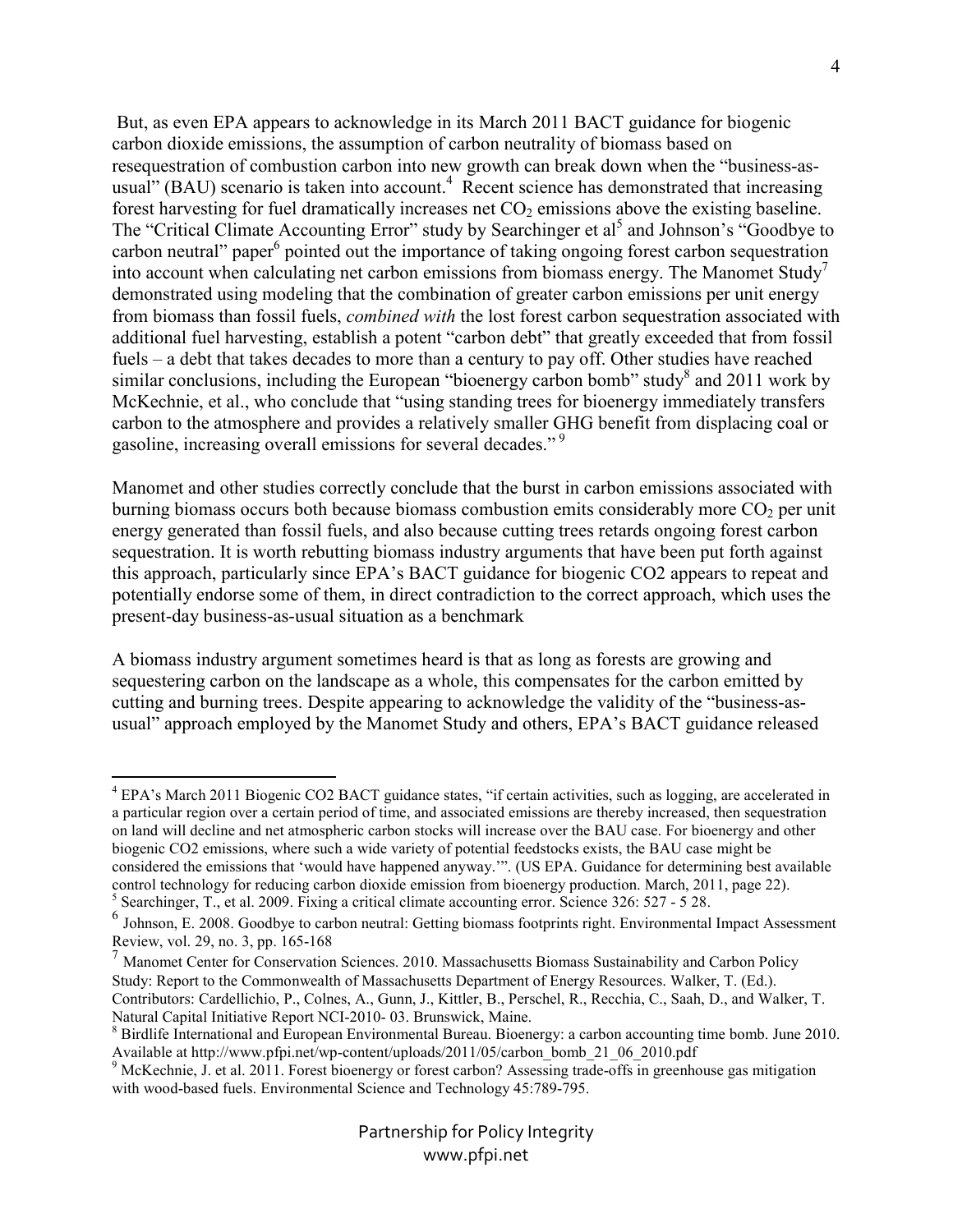But, as even EPA appears to acknowledge in its March 2011 BACT guidance for biogenic carbon dioxide emissions, the assumption of carbon neutrality of biomass based on resequestration of combustion carbon into new growth can break down when the "business-asusual" (BAU) scenario is taken into account.<sup>4</sup> Recent science has demonstrated that increasing forest harvesting for fuel dramatically increases net  $CO<sub>2</sub>$  emissions above the existing baseline. The "Critical Climate Accounting Error" study by Searchinger et al<sup>5</sup> and Johnson's "Goodbye to carbon neutral" paper<sup>6</sup> pointed out the importance of taking ongoing forest carbon sequestration into account when calculating net carbon emissions from biomass energy. The Manomet Study<sup>7</sup> demonstrated using modeling that the combination of greater carbon emissions per unit energy from biomass than fossil fuels, *combined with* the lost forest carbon sequestration associated with additional fuel harvesting, establish a potent "carbon debt" that greatly exceeded that from fossil fuels – a debt that takes decades to more than a century to pay off. Other studies have reached similar conclusions, including the European "bioenergy carbon bomb" study $8$  and 2011 work by McKechnie, et al., who conclude that "using standing trees for bioenergy immediately transfers carbon to the atmosphere and provides a relatively smaller GHG benefit from displacing coal or gasoline, increasing overall emissions for several decades."<sup>9</sup>

Manomet and other studies correctly conclude that the burst in carbon emissions associated with burning biomass occurs both because biomass combustion emits considerably more  $CO<sub>2</sub>$  per unit energy generated than fossil fuels, and also because cutting trees retards ongoing forest carbon sequestration. It is worth rebutting biomass industry arguments that have been put forth against this approach, particularly since EPA's BACT guidance for biogenic CO2 appears to repeat and potentially endorse some of them, in direct contradiction to the correct approach, which uses the present-day business-as-usual situation as a benchmark

A biomass industry argument sometimes heard is that as long as forests are growing and sequestering carbon on the landscape as a whole, this compensates for the carbon emitted by cutting and burning trees. Despite appearing to acknowledge the validity of the "business-asusual" approach employed by the Manomet Study and others, EPA's BACT guidance released

-

 $<sup>7</sup>$  Manomet Center for Conservation Sciences. 2010. Massachusetts Biomass Sustainability and Carbon Policy</sup> Study: Report to the Commonwealth of Massachusetts Department of Energy Resources. Walker, T. (Ed.). Contributors: Cardellichio, P., Colnes, A., Gunn, J., Kittler, B., Perschel, R., Recchia, C., Saah, D., and Walker, T. Natural Capital Initiative Report NCI-2010- 03. Brunswick, Maine.

<sup>&</sup>lt;sup>4</sup> EPA's March 2011 Biogenic CO2 BACT guidance states, "if certain activities, such as logging, are accelerated in a particular region over a certain period of time, and associated emissions are thereby increased, then sequestration on land will decline and net atmospheric carbon stocks will increase over the BAU case. For bioenergy and other biogenic CO2 emissions, where such a wide variety of potential feedstocks exists, the BAU case might be considered the emissions that 'would have happened anyway.'". (US EPA. Guidance for determining best available control technology for reducing carbon dioxide emission from bioenergy production. March, 2011, page 22). <sup>5</sup> Searchinger, T., et al. 2009. Fixing a critical climate accounting error. Science 326: 527 - 5 28.

<sup>6</sup> Johnson, E. 2008. Goodbye to carbon neutral: Getting biomass footprints right. Environmental Impact Assessment Review, vol. 29, no. 3, pp. 165-168

<sup>&</sup>lt;sup>8</sup> Birdlife International and European Environmental Bureau. Bioenergy: a carbon accounting time bomb. June 2010. Available at http://www.pfpi.net/wp-content/uploads/2011/05/carbon\_bomb\_21\_06\_2010.pdf

<sup>&</sup>lt;sup>9</sup> McKechnie, J. et al. 2011. Forest bioenergy or forest carbon? Assessing trade-offs in greenhouse gas mitigation with wood-based fuels. Environmental Science and Technology 45:789-795.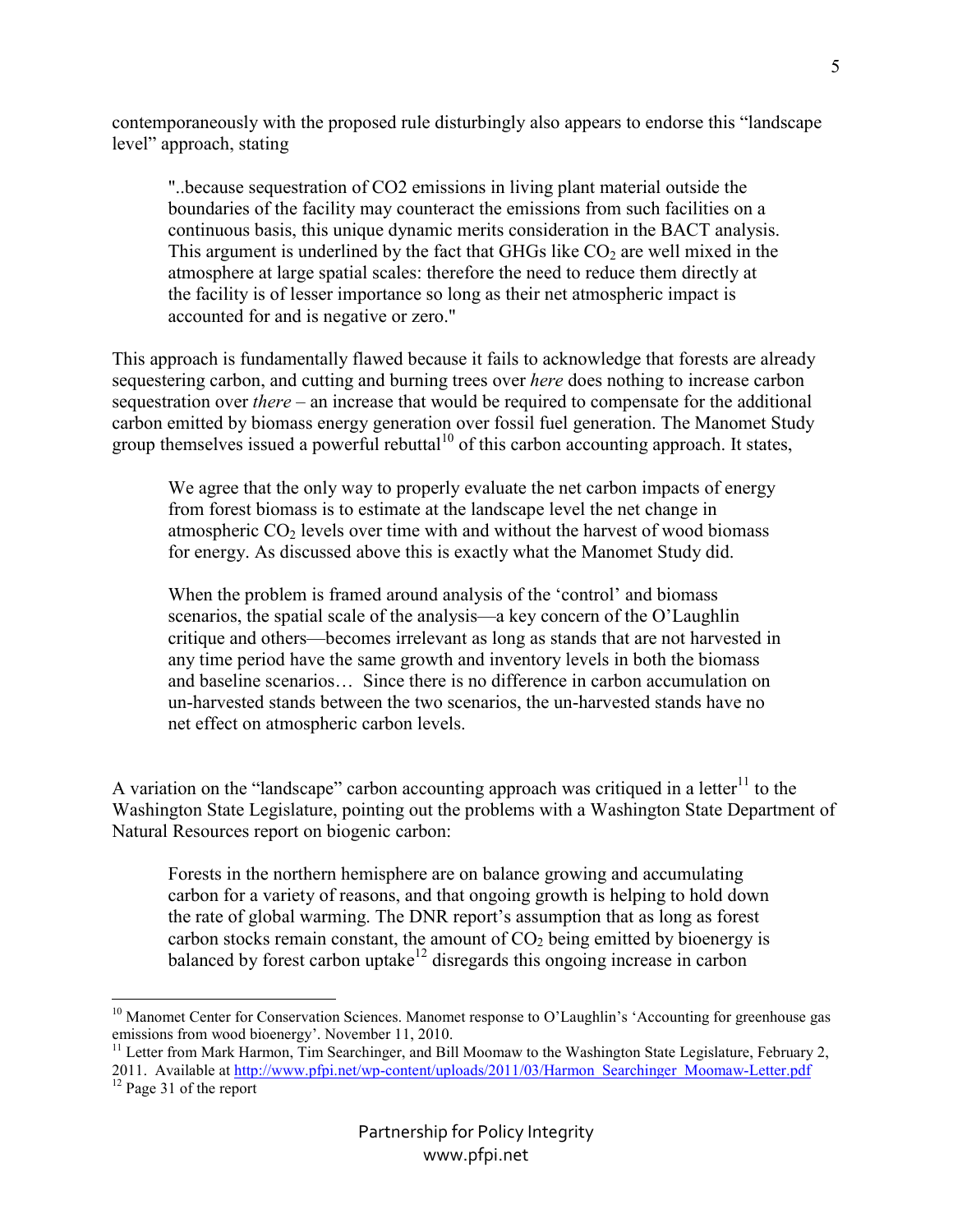contemporaneously with the proposed rule disturbingly also appears to endorse this "landscape level" approach, stating

"..because sequestration of CO2 emissions in living plant material outside the boundaries of the facility may counteract the emissions from such facilities on a continuous basis, this unique dynamic merits consideration in the BACT analysis. This argument is underlined by the fact that GHGs like  $CO<sub>2</sub>$  are well mixed in the atmosphere at large spatial scales: therefore the need to reduce them directly at the facility is of lesser importance so long as their net atmospheric impact is accounted for and is negative or zero."

This approach is fundamentally flawed because it fails to acknowledge that forests are already sequestering carbon, and cutting and burning trees over *here* does nothing to increase carbon sequestration over *there* – an increase that would be required to compensate for the additional carbon emitted by biomass energy generation over fossil fuel generation. The Manomet Study group themselves issued a powerful rebuttal<sup>10</sup> of this carbon accounting approach. It states,

We agree that the only way to properly evaluate the net carbon impacts of energy from forest biomass is to estimate at the landscape level the net change in atmospheric  $CO<sub>2</sub>$  levels over time with and without the harvest of wood biomass for energy. As discussed above this is exactly what the Manomet Study did.

When the problem is framed around analysis of the 'control' and biomass scenarios, the spatial scale of the analysis—a key concern of the O'Laughlin critique and others—becomes irrelevant as long as stands that are not harvested in any time period have the same growth and inventory levels in both the biomass and baseline scenarios… Since there is no difference in carbon accumulation on un-harvested stands between the two scenarios, the un-harvested stands have no net effect on atmospheric carbon levels.

A variation on the "landscape" carbon accounting approach was critiqued in a letter<sup>11</sup> to the Washington State Legislature, pointing out the problems with a Washington State Department of Natural Resources report on biogenic carbon:

Forests in the northern hemisphere are on balance growing and accumulating carbon for a variety of reasons, and that ongoing growth is helping to hold down the rate of global warming. The DNR report's assumption that as long as forest carbon stocks remain constant, the amount of  $CO<sub>2</sub>$  being emitted by bioenergy is balanced by forest carbon uptake<sup>12</sup> disregards this ongoing increase in carbon

 $\overline{a}$ 

<sup>&</sup>lt;sup>10</sup> Manomet Center for Conservation Sciences. Manomet response to O'Laughlin's 'Accounting for greenhouse gas emissions from wood bioenergy'. November 11, 2010.

<sup>&</sup>lt;sup>11</sup> Letter from Mark Harmon, Tim Searchinger, and Bill Moomaw to the Washington State Legislature, February 2,

<sup>2011.</sup> Available at http://www.pfpi.net/wp-content/uploads/2011/03/Harmon\_Searchinger\_Moomaw-Letter.pdf <sup>12</sup> Page 31 of the report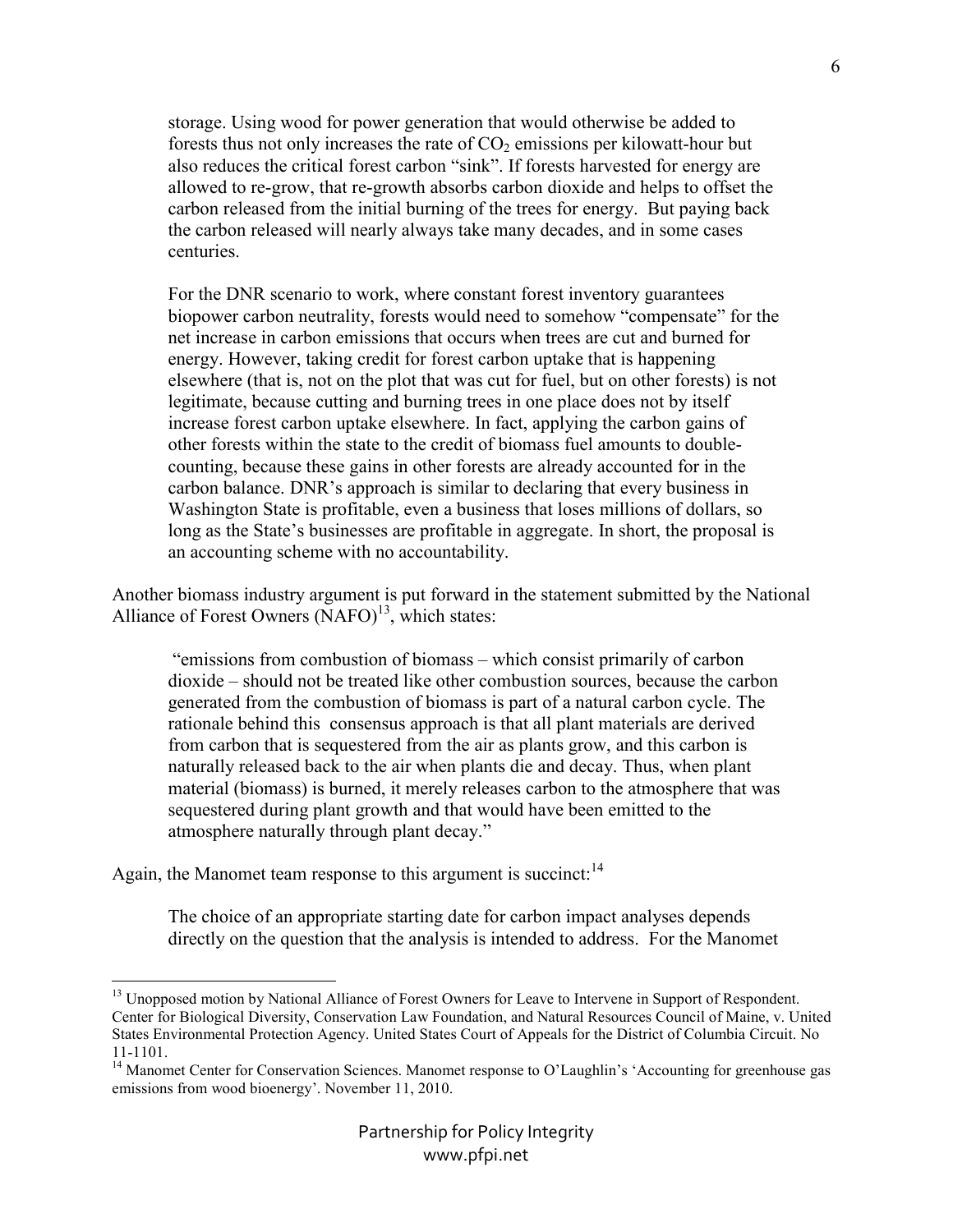storage. Using wood for power generation that would otherwise be added to forests thus not only increases the rate of  $CO<sub>2</sub>$  emissions per kilowatt-hour but also reduces the critical forest carbon "sink". If forests harvested for energy are allowed to re-grow, that re-growth absorbs carbon dioxide and helps to offset the carbon released from the initial burning of the trees for energy. But paying back the carbon released will nearly always take many decades, and in some cases centuries.

For the DNR scenario to work, where constant forest inventory guarantees biopower carbon neutrality, forests would need to somehow "compensate" for the net increase in carbon emissions that occurs when trees are cut and burned for energy. However, taking credit for forest carbon uptake that is happening elsewhere (that is, not on the plot that was cut for fuel, but on other forests) is not legitimate, because cutting and burning trees in one place does not by itself increase forest carbon uptake elsewhere. In fact, applying the carbon gains of other forests within the state to the credit of biomass fuel amounts to doublecounting, because these gains in other forests are already accounted for in the carbon balance. DNR's approach is similar to declaring that every business in Washington State is profitable, even a business that loses millions of dollars, so long as the State's businesses are profitable in aggregate. In short, the proposal is an accounting scheme with no accountability.

Another biomass industry argument is put forward in the statement submitted by the National Alliance of Forest Owners  $(NAFO)<sup>13</sup>$ , which states:

 "emissions from combustion of biomass – which consist primarily of carbon dioxide – should not be treated like other combustion sources, because the carbon generated from the combustion of biomass is part of a natural carbon cycle. The rationale behind this consensus approach is that all plant materials are derived from carbon that is sequestered from the air as plants grow, and this carbon is naturally released back to the air when plants die and decay. Thus, when plant material (biomass) is burned, it merely releases carbon to the atmosphere that was sequestered during plant growth and that would have been emitted to the atmosphere naturally through plant decay."

Again, the Manomet team response to this argument is succinct: $14$ 

 $\overline{a}$ 

The choice of an appropriate starting date for carbon impact analyses depends directly on the question that the analysis is intended to address. For the Manomet

<sup>&</sup>lt;sup>13</sup> Unopposed motion by National Alliance of Forest Owners for Leave to Intervene in Support of Respondent. Center for Biological Diversity, Conservation Law Foundation, and Natural Resources Council of Maine, v. United States Environmental Protection Agency. United States Court of Appeals for the District of Columbia Circuit. No 11-1101.

<sup>&</sup>lt;sup>14</sup> Manomet Center for Conservation Sciences. Manomet response to O'Laughlin's 'Accounting for greenhouse gas emissions from wood bioenergy'. November 11, 2010.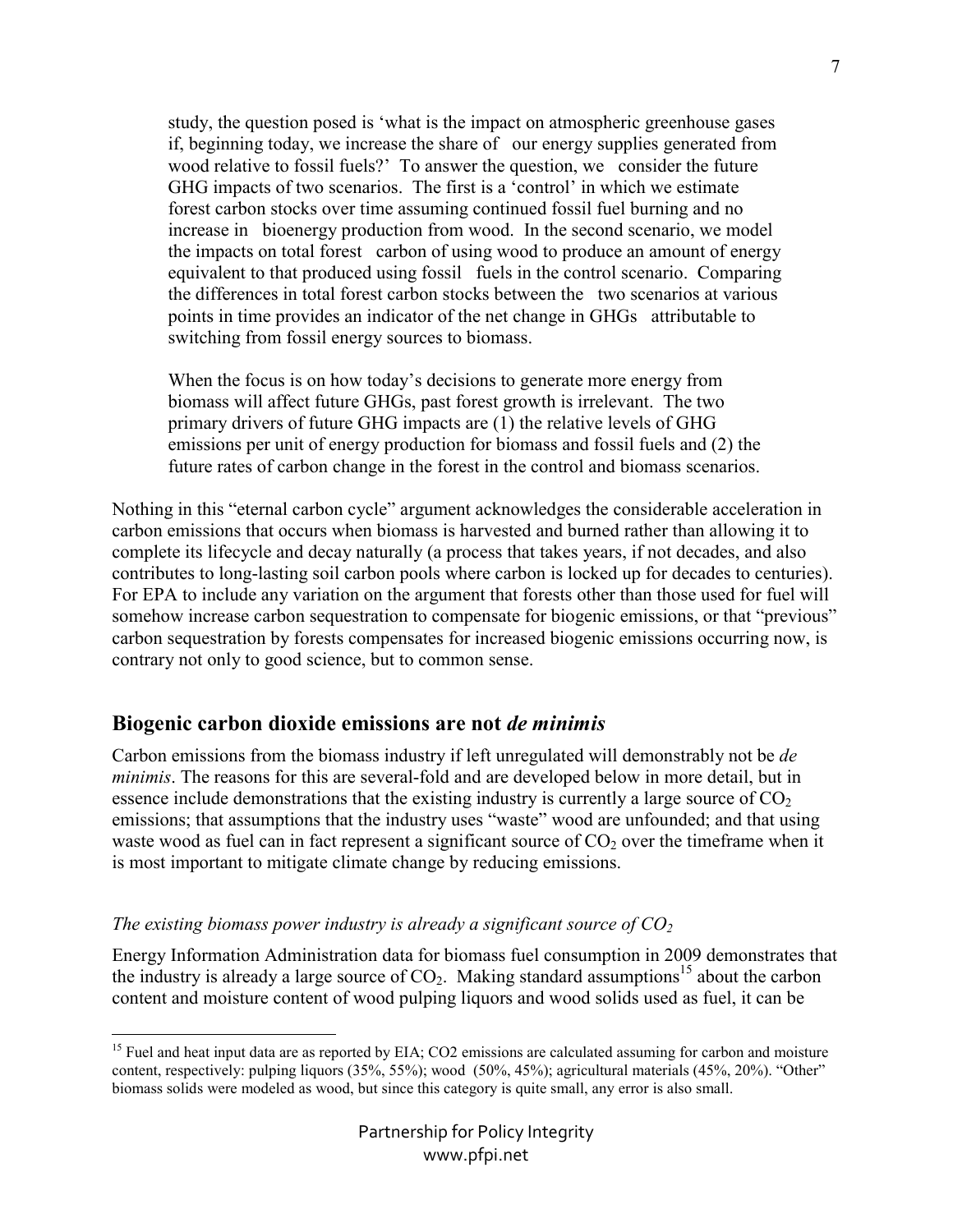study, the question posed is 'what is the impact on atmospheric greenhouse gases if, beginning today, we increase the share of our energy supplies generated from wood relative to fossil fuels?' To answer the question, we consider the future GHG impacts of two scenarios. The first is a 'control' in which we estimate forest carbon stocks over time assuming continued fossil fuel burning and no increase in bioenergy production from wood. In the second scenario, we model the impacts on total forest carbon of using wood to produce an amount of energy equivalent to that produced using fossil fuels in the control scenario. Comparing the differences in total forest carbon stocks between the two scenarios at various points in time provides an indicator of the net change in GHGs attributable to switching from fossil energy sources to biomass.

When the focus is on how today's decisions to generate more energy from biomass will affect future GHGs, past forest growth is irrelevant. The two primary drivers of future GHG impacts are (1) the relative levels of GHG emissions per unit of energy production for biomass and fossil fuels and (2) the future rates of carbon change in the forest in the control and biomass scenarios.

Nothing in this "eternal carbon cycle" argument acknowledges the considerable acceleration in carbon emissions that occurs when biomass is harvested and burned rather than allowing it to complete its lifecycle and decay naturally (a process that takes years, if not decades, and also contributes to long-lasting soil carbon pools where carbon is locked up for decades to centuries). For EPA to include any variation on the argument that forests other than those used for fuel will somehow increase carbon sequestration to compensate for biogenic emissions, or that "previous" carbon sequestration by forests compensates for increased biogenic emissions occurring now, is contrary not only to good science, but to common sense.

## **Biogenic carbon dioxide emissions are not** *de minimis*

Carbon emissions from the biomass industry if left unregulated will demonstrably not be *de minimis*. The reasons for this are several-fold and are developed below in more detail, but in essence include demonstrations that the existing industry is currently a large source of  $CO<sub>2</sub>$ emissions; that assumptions that the industry uses "waste" wood are unfounded; and that using waste wood as fuel can in fact represent a significant source of  $CO<sub>2</sub>$  over the timeframe when it is most important to mitigate climate change by reducing emissions.

### *The existing biomass power industry is already a significant source of CO<sup>2</sup>*

Energy Information Administration data for biomass fuel consumption in 2009 demonstrates that the industry is already a large source of  $CO<sub>2</sub>$ . Making standard assumptions<sup>15</sup> about the carbon content and moisture content of wood pulping liquors and wood solids used as fuel, it can be

<sup>&</sup>lt;u>.</u>  $15$  Fuel and heat input data are as reported by EIA; CO2 emissions are calculated assuming for carbon and moisture content, respectively: pulping liquors (35%, 55%); wood (50%, 45%); agricultural materials (45%, 20%). "Other" biomass solids were modeled as wood, but since this category is quite small, any error is also small.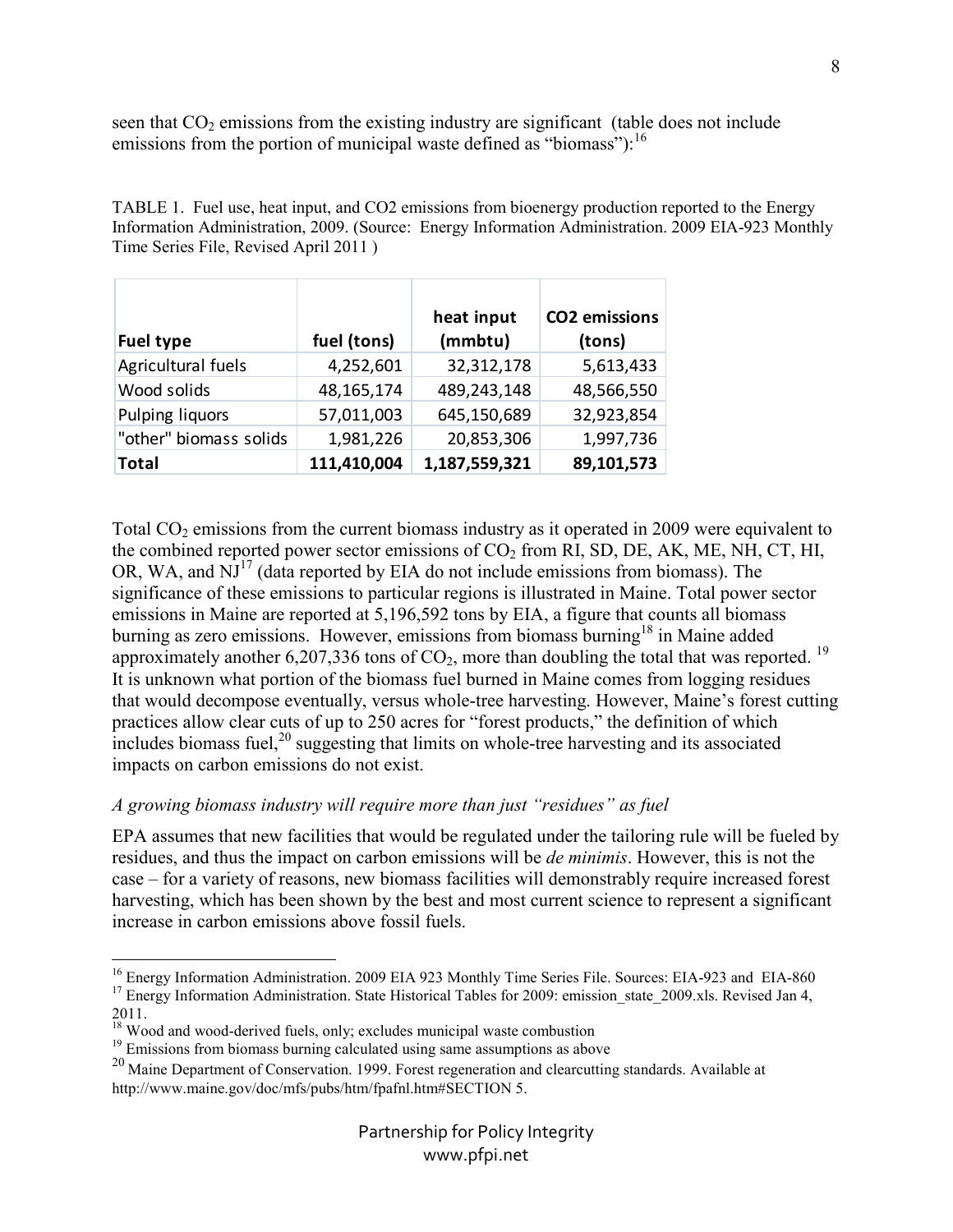seen that  $CO<sub>2</sub>$  emissions from the existing industry are significant (table does not include emissions from the portion of municipal waste defined as "biomass"):  $^{16}$ 

TABLE 1. Fuel use, heat input, and CO2 emissions from bioenergy production reported to the Energy Information Administration, 2009. (Source: Energy Information Administration. 2009 EIA-923 Monthly Time Series File, Revised April 2011 )

| <b>Fuel type</b>       | fuel (tons) | heat input<br>(mmbtu) | <b>CO2</b> emissions<br>(tons) |
|------------------------|-------------|-----------------------|--------------------------------|
| Agricultural fuels     | 4,252,601   | 32,312,178            | 5,613,433                      |
| Wood solids            | 48,165,174  | 489,243,148           | 48,566,550                     |
| Pulping liquors        | 57,011,003  | 645,150,689           | 32,923,854                     |
| "other" biomass solids | 1,981,226   | 20,853,306            | 1,997,736                      |
| <b>Total</b>           | 111,410,004 | 1,187,559,321         | 89,101,573                     |

Total  $CO<sub>2</sub>$  emissions from the current biomass industry as it operated in 2009 were equivalent to the combined reported power sector emissions of  $CO<sub>2</sub>$  from RI, SD, DE, AK, ME, NH, CT, HI, OR, WA, and  $\overline{NJ}^{17}$  (data reported by EIA do not include emissions from biomass). The significance of these emissions to particular regions is illustrated in Maine. Total power sector emissions in Maine are reported at 5,196,592 tons by EIA, a figure that counts all biomass burning as zero emissions. However, emissions from biomass burning<sup>18</sup> in Maine added approximately another  $6,207,336$  tons of  $CO<sub>2</sub>$ , more than doubling the total that was reported. <sup>19</sup> It is unknown what portion of the biomass fuel burned in Maine comes from logging residues that would decompose eventually, versus whole-tree harvesting. However, Maine's forest cutting practices allow clear cuts of up to 250 acres for "forest products," the definition of which  $\frac{1}{2}$  includes biomass fuel,<sup>20</sup> suggesting that limits on whole-tree harvesting and its associated impacts on carbon emissions do not exist.

### *A growing biomass industry will require more than just "residues" as fuel*

EPA assumes that new facilities that would be regulated under the tailoring rule will be fueled by residues, and thus the impact on carbon emissions will be *de minimis*. However, this is not the case – for a variety of reasons, new biomass facilities will demonstrably require increased forest harvesting, which has been shown by the best and most current science to represent a significant increase in carbon emissions above fossil fuels.

2011.

8

<sup>-</sup><sup>16</sup> Energy Information Administration. 2009 EIA 923 Monthly Time Series File. Sources: EIA-923 and EIA-860 <sup>17</sup> Energy Information Administration. State Historical Tables for 2009: emission\_state\_2009.xls. Revised Jan 4,

<sup>&</sup>lt;sup>18</sup> Wood and wood-derived fuels, only; excludes municipal waste combustion

<sup>&</sup>lt;sup>19</sup> Emissions from biomass burning calculated using same assumptions as above

<sup>&</sup>lt;sup>20</sup> Maine Department of Conservation. 1999. Forest regeneration and clearcutting standards. Available at http://www.maine.gov/doc/mfs/pubs/htm/fpafnl.htm#SECTION 5.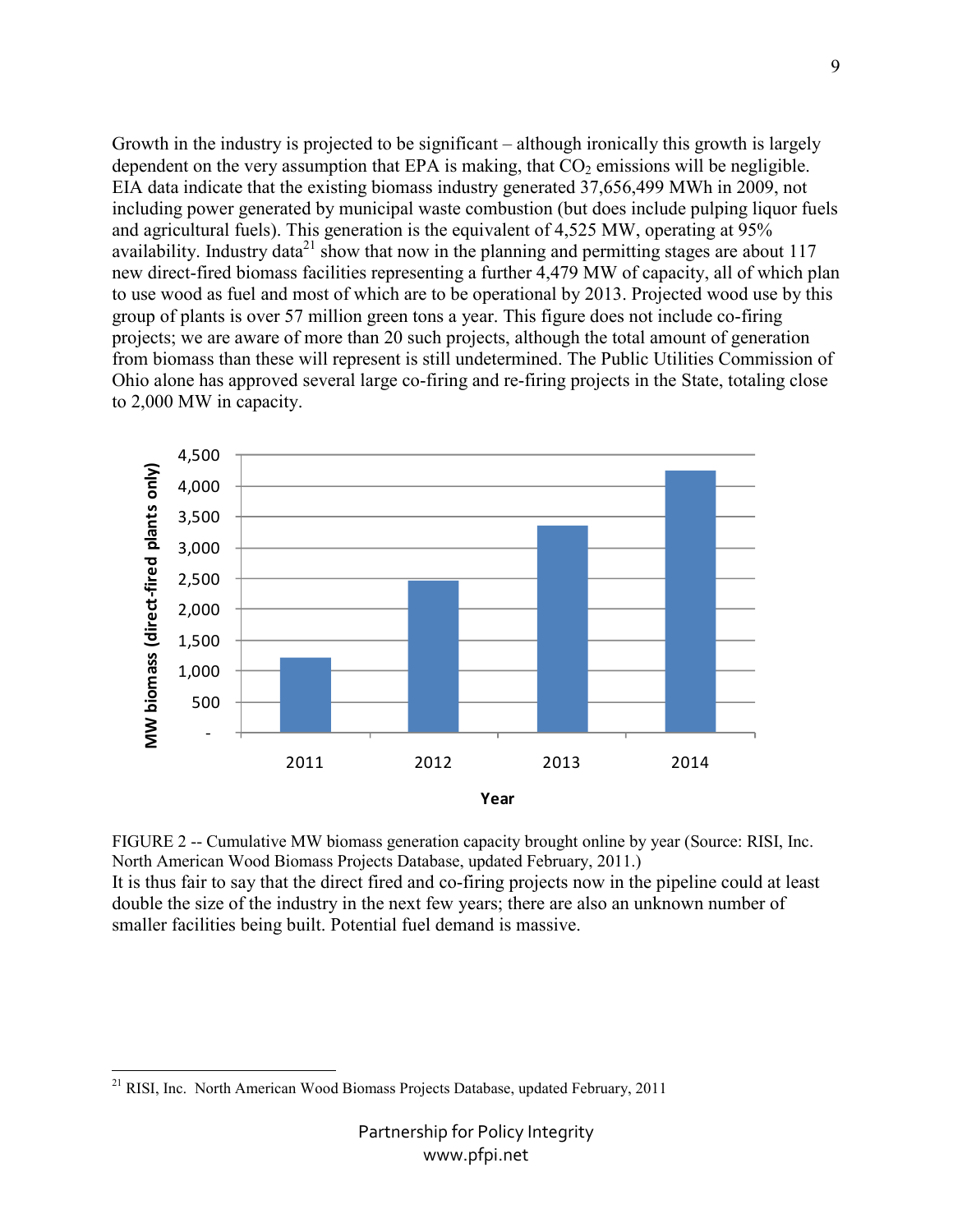Growth in the industry is projected to be significant – although ironically this growth is largely dependent on the very assumption that EPA is making, that  $CO<sub>2</sub>$  emissions will be negligible. EIA data indicate that the existing biomass industry generated 37,656,499 MWh in 2009, not including power generated by municipal waste combustion (but does include pulping liquor fuels and agricultural fuels). This generation is the equivalent of 4,525 MW, operating at 95% availability. Industry data<sup>21</sup> show that now in the planning and permitting stages are about 117 new direct-fired biomass facilities representing a further 4,479 MW of capacity, all of which plan to use wood as fuel and most of which are to be operational by 2013. Projected wood use by this group of plants is over 57 million green tons a year. This figure does not include co-firing projects; we are aware of more than 20 such projects, although the total amount of generation from biomass than these will represent is still undetermined. The Public Utilities Commission of Ohio alone has approved several large co-firing and re-firing projects in the State, totaling close to 2,000 MW in capacity.



FIGURE 2 -- Cumulative MW biomass generation capacity brought online by year (Source: RISI, Inc. North American Wood Biomass Projects Database, updated February, 2011.) It is thus fair to say that the direct fired and co-firing projects now in the pipeline could at least double the size of the industry in the next few years; there are also an unknown number of smaller facilities being built. Potential fuel demand is massive.

<sup>-</sup><sup>21</sup> RISI, Inc. North American Wood Biomass Projects Database, updated February, 2011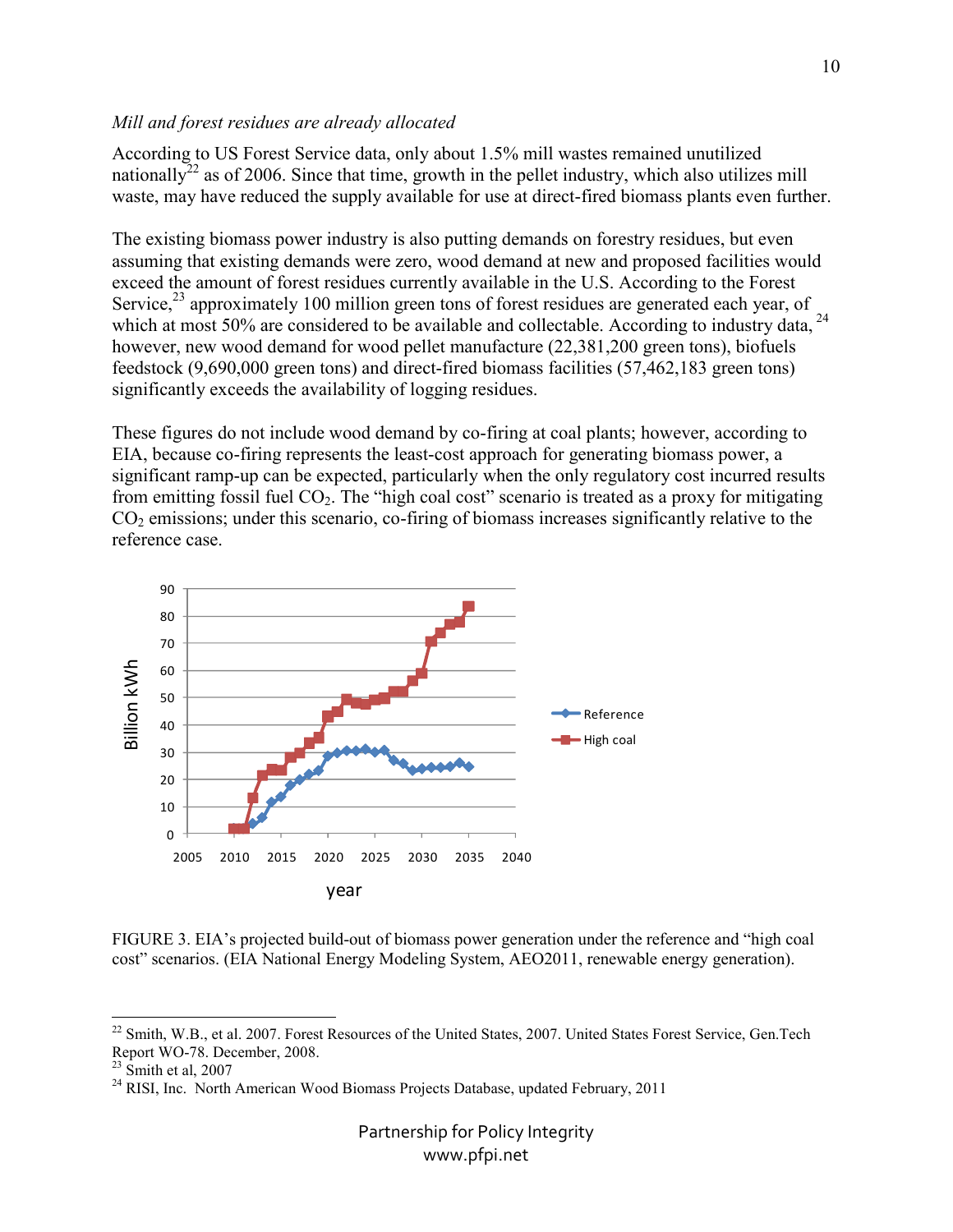#### *Mill and forest residues are already allocated*

According to US Forest Service data, only about 1.5% mill wastes remained unutilized nationally<sup>22</sup> as of 2006. Since that time, growth in the pellet industry, which also utilizes mill waste, may have reduced the supply available for use at direct-fired biomass plants even further.

The existing biomass power industry is also putting demands on forestry residues, but even assuming that existing demands were zero, wood demand at new and proposed facilities would exceed the amount of forest residues currently available in the U.S. According to the Forest Service, $^{23}$  approximately 100 million green tons of forest residues are generated each year, of which at most 50% are considered to be available and collectable. According to industry data, <sup>24</sup> however, new wood demand for wood pellet manufacture (22,381,200 green tons), biofuels feedstock (9,690,000 green tons) and direct-fired biomass facilities (57,462,183 green tons) significantly exceeds the availability of logging residues.

These figures do not include wood demand by co-firing at coal plants; however, according to EIA, because co-firing represents the least-cost approach for generating biomass power, a significant ramp-up can be expected, particularly when the only regulatory cost incurred results from emitting fossil fuel CO<sub>2</sub>. The "high coal cost" scenario is treated as a proxy for mitigating  $CO<sub>2</sub>$  emissions; under this scenario, co-firing of biomass increases significantly relative to the reference case.



FIGURE 3. EIA's projected build-out of biomass power generation under the reference and "high coal cost" scenarios. (EIA National Energy Modeling System, AEO2011, renewable energy generation).

-

 $22$  Smith, W.B., et al. 2007. Forest Resources of the United States, 2007. United States Forest Service, Gen.Tech Report WO-78. December, 2008.

 $23$  Smith et al, 2007

 $^{24}$  RISI, Inc. North American Wood Biomass Projects Database, updated February, 2011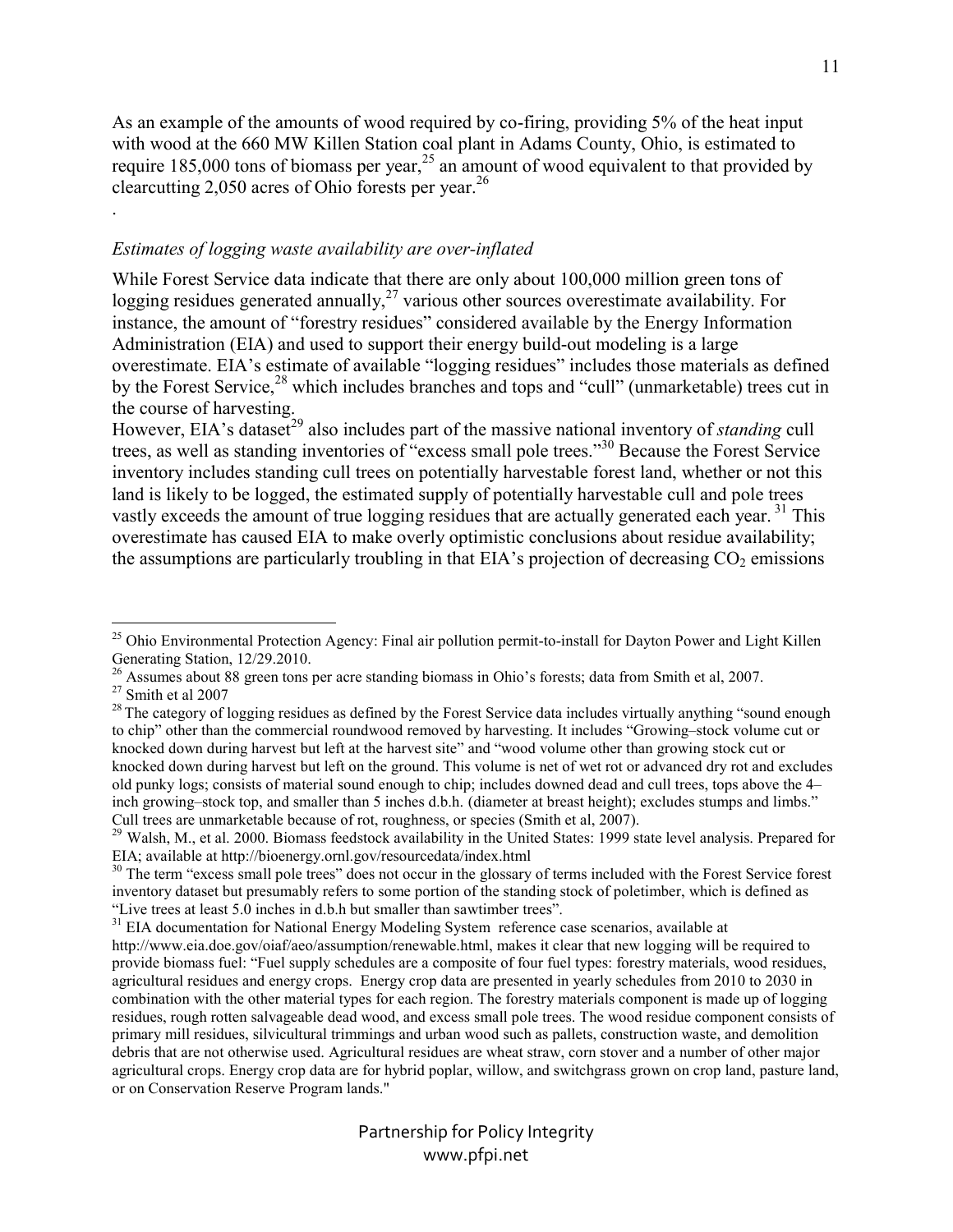As an example of the amounts of wood required by co-firing, providing 5% of the heat input with wood at the 660 MW Killen Station coal plant in Adams County, Ohio, is estimated to require 185,000 tons of biomass per year,<sup>25</sup> an amount of wood equivalent to that provided by clearcutting 2,050 acres of Ohio forests per year.<sup>26</sup>

#### *Estimates of logging waste availability are over-inflated*

While Forest Service data indicate that there are only about 100,000 million green tons of logging residues generated annually, $^{27}$  various other sources overestimate availability. For instance, the amount of "forestry residues" considered available by the Energy Information Administration (EIA) and used to support their energy build-out modeling is a large overestimate. EIA's estimate of available "logging residues" includes those materials as defined by the Forest Service,<sup>28</sup> which includes branches and tops and "cull" (unmarketable) trees cut in the course of harvesting.

However, EIA's dataset<sup>29</sup> also includes part of the massive national inventory of *standing* cull trees, as well as standing inventories of "excess small pole trees."<sup>30</sup> Because the Forest Service inventory includes standing cull trees on potentially harvestable forest land, whether or not this land is likely to be logged, the estimated supply of potentially harvestable cull and pole trees vastly exceeds the amount of true logging residues that are actually generated each year.<sup>31</sup> This overestimate has caused EIA to make overly optimistic conclusions about residue availability; the assumptions are particularly troubling in that EIA's projection of decreasing  $CO<sub>2</sub>$  emissions

-

.

<sup>&</sup>lt;sup>25</sup> Ohio Environmental Protection Agency: Final air pollution permit-to-install for Dayton Power and Light Killen Generating Station, 12/29.2010.

<sup>&</sup>lt;sup>26</sup> Assumes about 88 green tons per acre standing biomass in Ohio's forests; data from Smith et al, 2007.

 $27$  Smith et al 2007

 $^{28}$  The category of logging residues as defined by the Forest Service data includes virtually anything "sound enough to chip" other than the commercial roundwood removed by harvesting. It includes "Growing–stock volume cut or knocked down during harvest but left at the harvest site" and "wood volume other than growing stock cut or knocked down during harvest but left on the ground. This volume is net of wet rot or advanced dry rot and excludes old punky logs; consists of material sound enough to chip; includes downed dead and cull trees, tops above the 4– inch growing–stock top, and smaller than 5 inches d.b.h. (diameter at breast height); excludes stumps and limbs." Cull trees are unmarketable because of rot, roughness, or species (Smith et al, 2007).

<sup>&</sup>lt;sup>29</sup> Walsh, M., et al. 2000. Biomass feedstock availability in the United States: 1999 state level analysis. Prepared for EIA; available at http://bioenergy.ornl.gov/resourcedata/index.html

<sup>&</sup>lt;sup>30</sup> The term "excess small pole trees" does not occur in the glossary of terms included with the Forest Service forest inventory dataset but presumably refers to some portion of the standing stock of poletimber, which is defined as "Live trees at least 5.0 inches in d.b.h but smaller than sawtimber trees".

<sup>&</sup>lt;sup>31</sup> EIA documentation for National Energy Modeling System reference case scenarios, available at

http://www.eia.doe.gov/oiaf/aeo/assumption/renewable.html, makes it clear that new logging will be required to provide biomass fuel: "Fuel supply schedules are a composite of four fuel types: forestry materials, wood residues, agricultural residues and energy crops. Energy crop data are presented in yearly schedules from 2010 to 2030 in combination with the other material types for each region. The forestry materials component is made up of logging residues, rough rotten salvageable dead wood, and excess small pole trees. The wood residue component consists of primary mill residues, silvicultural trimmings and urban wood such as pallets, construction waste, and demolition debris that are not otherwise used. Agricultural residues are wheat straw, corn stover and a number of other major agricultural crops. Energy crop data are for hybrid poplar, willow, and switchgrass grown on crop land, pasture land, or on Conservation Reserve Program lands."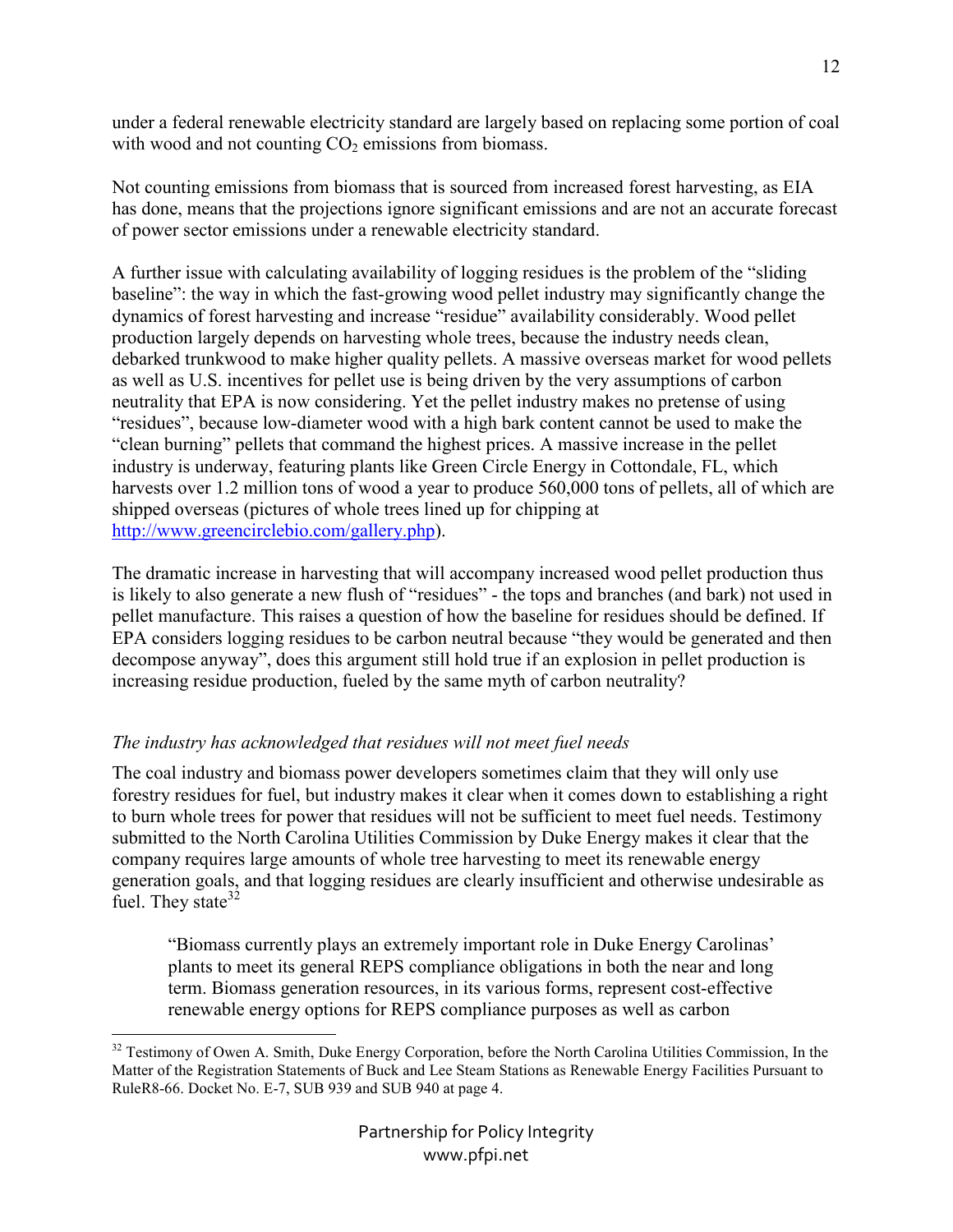under a federal renewable electricity standard are largely based on replacing some portion of coal with wood and not counting  $CO<sub>2</sub>$  emissions from biomass.

Not counting emissions from biomass that is sourced from increased forest harvesting, as EIA has done, means that the projections ignore significant emissions and are not an accurate forecast of power sector emissions under a renewable electricity standard.

A further issue with calculating availability of logging residues is the problem of the "sliding baseline": the way in which the fast-growing wood pellet industry may significantly change the dynamics of forest harvesting and increase "residue" availability considerably. Wood pellet production largely depends on harvesting whole trees, because the industry needs clean, debarked trunkwood to make higher quality pellets. A massive overseas market for wood pellets as well as U.S. incentives for pellet use is being driven by the very assumptions of carbon neutrality that EPA is now considering. Yet the pellet industry makes no pretense of using "residues", because low-diameter wood with a high bark content cannot be used to make the "clean burning" pellets that command the highest prices. A massive increase in the pellet industry is underway, featuring plants like Green Circle Energy in Cottondale, FL, which harvests over 1.2 million tons of wood a year to produce 560,000 tons of pellets, all of which are shipped overseas (pictures of whole trees lined up for chipping at http://www.greencirclebio.com/gallery.php).

The dramatic increase in harvesting that will accompany increased wood pellet production thus is likely to also generate a new flush of "residues" - the tops and branches (and bark) not used in pellet manufacture. This raises a question of how the baseline for residues should be defined. If EPA considers logging residues to be carbon neutral because "they would be generated and then decompose anyway", does this argument still hold true if an explosion in pellet production is increasing residue production, fueled by the same myth of carbon neutrality?

## *The industry has acknowledged that residues will not meet fuel needs*

The coal industry and biomass power developers sometimes claim that they will only use forestry residues for fuel, but industry makes it clear when it comes down to establishing a right to burn whole trees for power that residues will not be sufficient to meet fuel needs. Testimony submitted to the North Carolina Utilities Commission by Duke Energy makes it clear that the company requires large amounts of whole tree harvesting to meet its renewable energy generation goals, and that logging residues are clearly insufficient and otherwise undesirable as fuel. They state  $32$ 

"Biomass currently plays an extremely important role in Duke Energy Carolinas' plants to meet its general REPS compliance obligations in both the near and long term. Biomass generation resources, in its various forms, represent cost-effective renewable energy options for REPS compliance purposes as well as carbon

<sup>&</sup>lt;u>.</u> <sup>32</sup> Testimony of Owen A. Smith, Duke Energy Corporation, before the North Carolina Utilities Commission, In the Matter of the Registration Statements of Buck and Lee Steam Stations as Renewable Energy Facilities Pursuant to RuleR8-66. Docket No. E-7, SUB 939 and SUB 940 at page 4.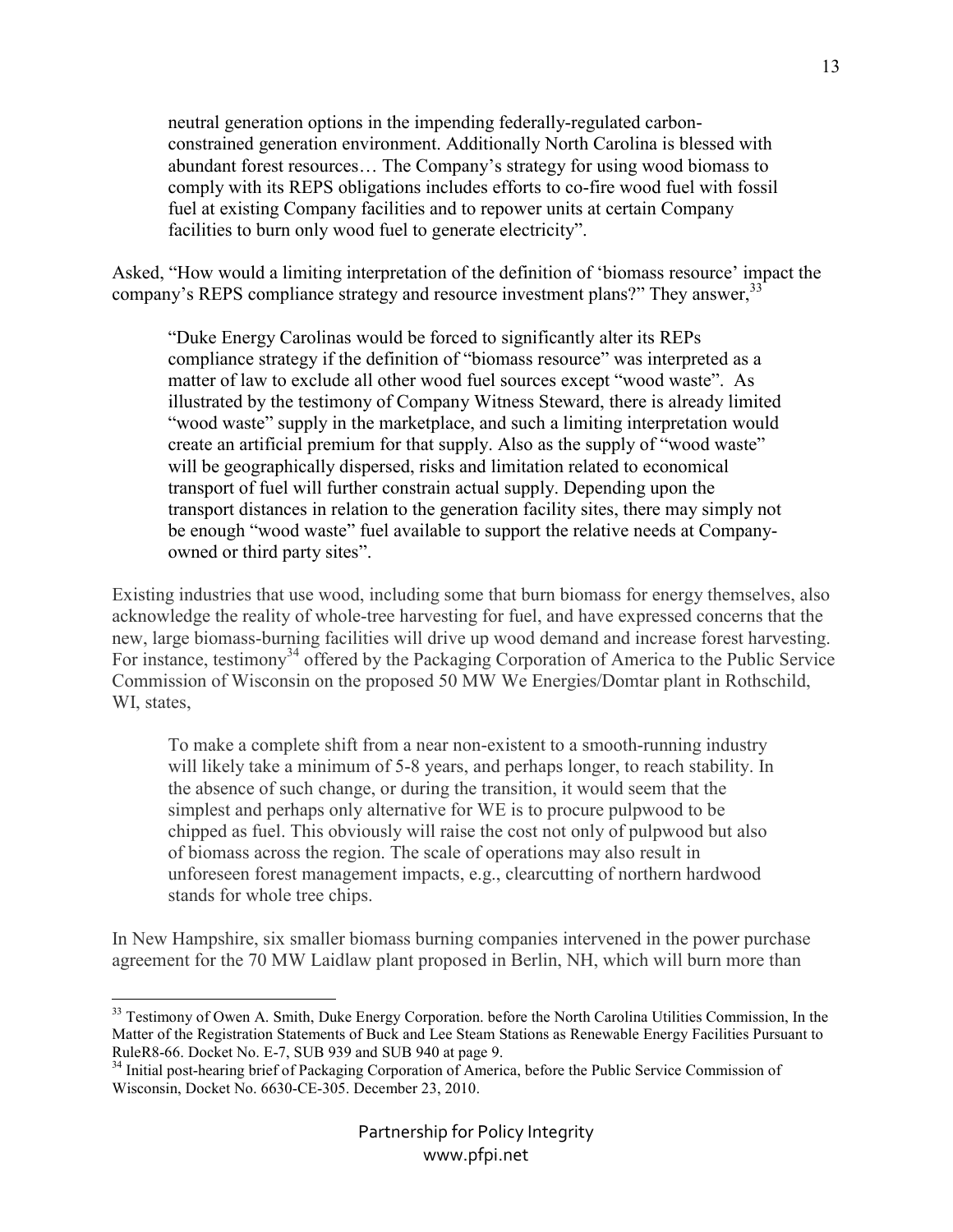neutral generation options in the impending federally-regulated carbonconstrained generation environment. Additionally North Carolina is blessed with abundant forest resources… The Company's strategy for using wood biomass to comply with its REPS obligations includes efforts to co-fire wood fuel with fossil fuel at existing Company facilities and to repower units at certain Company facilities to burn only wood fuel to generate electricity".

Asked, "How would a limiting interpretation of the definition of 'biomass resource' impact the company's REPS compliance strategy and resource investment plans?" They answer, <sup>33</sup>

"Duke Energy Carolinas would be forced to significantly alter its REPs compliance strategy if the definition of "biomass resource" was interpreted as a matter of law to exclude all other wood fuel sources except "wood waste". As illustrated by the testimony of Company Witness Steward, there is already limited "wood waste" supply in the marketplace, and such a limiting interpretation would create an artificial premium for that supply. Also as the supply of "wood waste" will be geographically dispersed, risks and limitation related to economical transport of fuel will further constrain actual supply. Depending upon the transport distances in relation to the generation facility sites, there may simply not be enough "wood waste" fuel available to support the relative needs at Companyowned or third party sites".

Existing industries that use wood, including some that burn biomass for energy themselves, also acknowledge the reality of whole-tree harvesting for fuel, and have expressed concerns that the new, large biomass-burning facilities will drive up wood demand and increase forest harvesting. For instance, testimony<sup>34</sup> offered by the Packaging Corporation of America to the Public Service Commission of Wisconsin on the proposed 50 MW We Energies/Domtar plant in Rothschild, WI, states,

To make a complete shift from a near non-existent to a smooth-running industry will likely take a minimum of 5-8 years, and perhaps longer, to reach stability. In the absence of such change, or during the transition, it would seem that the simplest and perhaps only alternative for WE is to procure pulpwood to be chipped as fuel. This obviously will raise the cost not only of pulpwood but also of biomass across the region. The scale of operations may also result in unforeseen forest management impacts, e.g., clearcutting of northern hardwood stands for whole tree chips.

In New Hampshire, six smaller biomass burning companies intervened in the power purchase agreement for the 70 MW Laidlaw plant proposed in Berlin, NH, which will burn more than

-

<sup>&</sup>lt;sup>33</sup> Testimony of Owen A. Smith, Duke Energy Corporation. before the North Carolina Utilities Commission, In the Matter of the Registration Statements of Buck and Lee Steam Stations as Renewable Energy Facilities Pursuant to RuleR8-66. Docket No. E-7, SUB 939 and SUB 940 at page 9.

<sup>&</sup>lt;sup>34</sup> Initial post-hearing brief of Packaging Corporation of America, before the Public Service Commission of Wisconsin, Docket No. 6630-CE-305. December 23, 2010.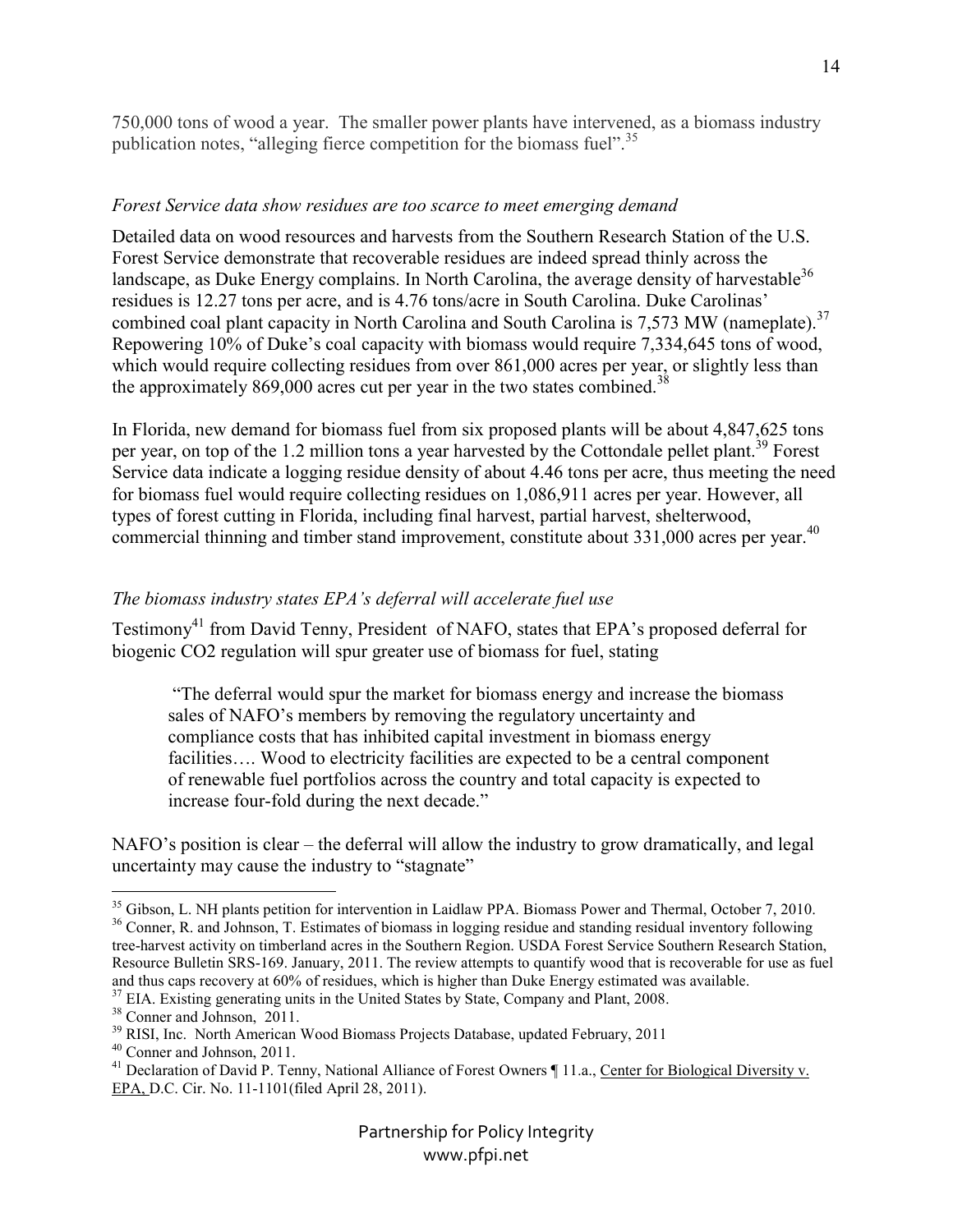750,000 tons of wood a year. The smaller power plants have intervened, as a biomass industry publication notes, "alleging fierce competition for the biomass fuel".<sup>35</sup>

### *Forest Service data show residues are too scarce to meet emerging demand*

Detailed data on wood resources and harvests from the Southern Research Station of the U.S. Forest Service demonstrate that recoverable residues are indeed spread thinly across the landscape, as Duke Energy complains. In North Carolina, the average density of harvestable<sup>36</sup> residues is 12.27 tons per acre, and is 4.76 tons/acre in South Carolina. Duke Carolinas' combined coal plant capacity in North Carolina and South Carolina is 7,573 MW (nameplate).<sup>37</sup> Repowering 10% of Duke's coal capacity with biomass would require 7,334,645 tons of wood, which would require collecting residues from over 861,000 acres per year, or slightly less than the approximately 869,000 acres cut per year in the two states combined.<sup>38</sup>

In Florida, new demand for biomass fuel from six proposed plants will be about 4,847,625 tons per year, on top of the 1.2 million tons a year harvested by the Cottondale pellet plant.<sup>39</sup> Forest Service data indicate a logging residue density of about 4.46 tons per acre, thus meeting the need for biomass fuel would require collecting residues on 1,086,911 acres per year. However, all types of forest cutting in Florida, including final harvest, partial harvest, shelterwood, commercial thinning and timber stand improvement, constitute about 331,000 acres per year.<sup>40</sup>

## *The biomass industry states EPA's deferral will accelerate fuel use*

Testimony<sup>41</sup> from David Tenny, President of NAFO, states that EPA's proposed deferral for biogenic CO2 regulation will spur greater use of biomass for fuel, stating

 "The deferral would spur the market for biomass energy and increase the biomass sales of NAFO's members by removing the regulatory uncertainty and compliance costs that has inhibited capital investment in biomass energy facilities.... Wood to electricity facilities are expected to be a central component of renewable fuel portfolios across the country and total capacity is expected to increase four-fold during the next decade."

NAFO's position is clear – the deferral will allow the industry to grow dramatically, and legal uncertainty may cause the industry to "stagnate"

<sup>-</sup><sup>35</sup> Gibson, L. NH plants petition for intervention in Laidlaw PPA. Biomass Power and Thermal, October 7, 2010. <sup>36</sup> Conner, R. and Johnson, T. Estimates of biomass in logging residue and standing residual inventory following tree-harvest activity on timberland acres in the Southern Region. USDA Forest Service Southern Research Station, Resource Bulletin SRS-169. January, 2011. The review attempts to quantify wood that is recoverable for use as fuel and thus caps recovery at 60% of residues, which is higher than Duke Energy estimated was available.

<sup>&</sup>lt;sup>37</sup> EIA. Existing generating units in the United States by State, Company and Plant, 2008.

<sup>38</sup> Conner and Johnson, 2011.

<sup>&</sup>lt;sup>39</sup> RISI, Inc. North American Wood Biomass Projects Database, updated February, 2011

<sup>40</sup> Conner and Johnson, 2011.

<sup>&</sup>lt;sup>41</sup> Declaration of David P. Tenny, National Alliance of Forest Owners ¶ 11.a., Center for Biological Diversity v. EPA, D.C. Cir. No. 11-1101(filed April 28, 2011).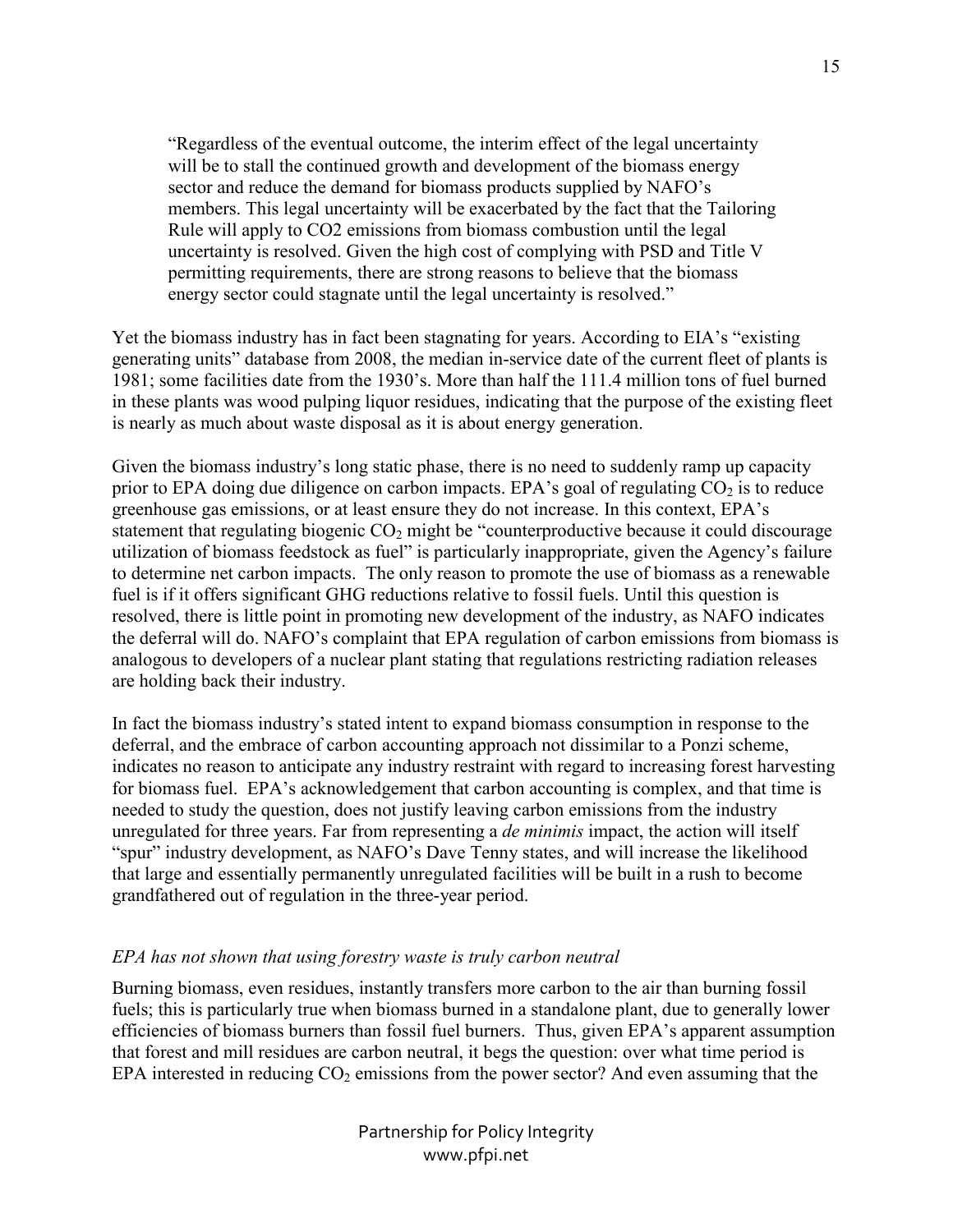"Regardless of the eventual outcome, the interim effect of the legal uncertainty will be to stall the continued growth and development of the biomass energy sector and reduce the demand for biomass products supplied by NAFO's members. This legal uncertainty will be exacerbated by the fact that the Tailoring Rule will apply to CO2 emissions from biomass combustion until the legal uncertainty is resolved. Given the high cost of complying with PSD and Title V permitting requirements, there are strong reasons to believe that the biomass energy sector could stagnate until the legal uncertainty is resolved."

Yet the biomass industry has in fact been stagnating for years. According to EIA's "existing generating units" database from 2008, the median in-service date of the current fleet of plants is 1981; some facilities date from the 1930's. More than half the 111.4 million tons of fuel burned in these plants was wood pulping liquor residues, indicating that the purpose of the existing fleet is nearly as much about waste disposal as it is about energy generation.

Given the biomass industry's long static phase, there is no need to suddenly ramp up capacity prior to EPA doing due diligence on carbon impacts. EPA's goal of regulating  $CO<sub>2</sub>$  is to reduce greenhouse gas emissions, or at least ensure they do not increase. In this context, EPA's statement that regulating biogenic  $CO<sub>2</sub>$  might be "counterproductive because it could discourage utilization of biomass feedstock as fuel" is particularly inappropriate, given the Agency's failure to determine net carbon impacts. The only reason to promote the use of biomass as a renewable fuel is if it offers significant GHG reductions relative to fossil fuels. Until this question is resolved, there is little point in promoting new development of the industry, as NAFO indicates the deferral will do. NAFO's complaint that EPA regulation of carbon emissions from biomass is analogous to developers of a nuclear plant stating that regulations restricting radiation releases are holding back their industry.

In fact the biomass industry's stated intent to expand biomass consumption in response to the deferral, and the embrace of carbon accounting approach not dissimilar to a Ponzi scheme, indicates no reason to anticipate any industry restraint with regard to increasing forest harvesting for biomass fuel. EPA's acknowledgement that carbon accounting is complex, and that time is needed to study the question, does not justify leaving carbon emissions from the industry unregulated for three years. Far from representing a *de minimis* impact, the action will itself "spur" industry development, as NAFO's Dave Tenny states, and will increase the likelihood that large and essentially permanently unregulated facilities will be built in a rush to become grandfathered out of regulation in the three-year period.

#### *EPA has not shown that using forestry waste is truly carbon neutral*

Burning biomass, even residues, instantly transfers more carbon to the air than burning fossil fuels; this is particularly true when biomass burned in a standalone plant, due to generally lower efficiencies of biomass burners than fossil fuel burners. Thus, given EPA's apparent assumption that forest and mill residues are carbon neutral, it begs the question: over what time period is EPA interested in reducing  $CO<sub>2</sub>$  emissions from the power sector? And even assuming that the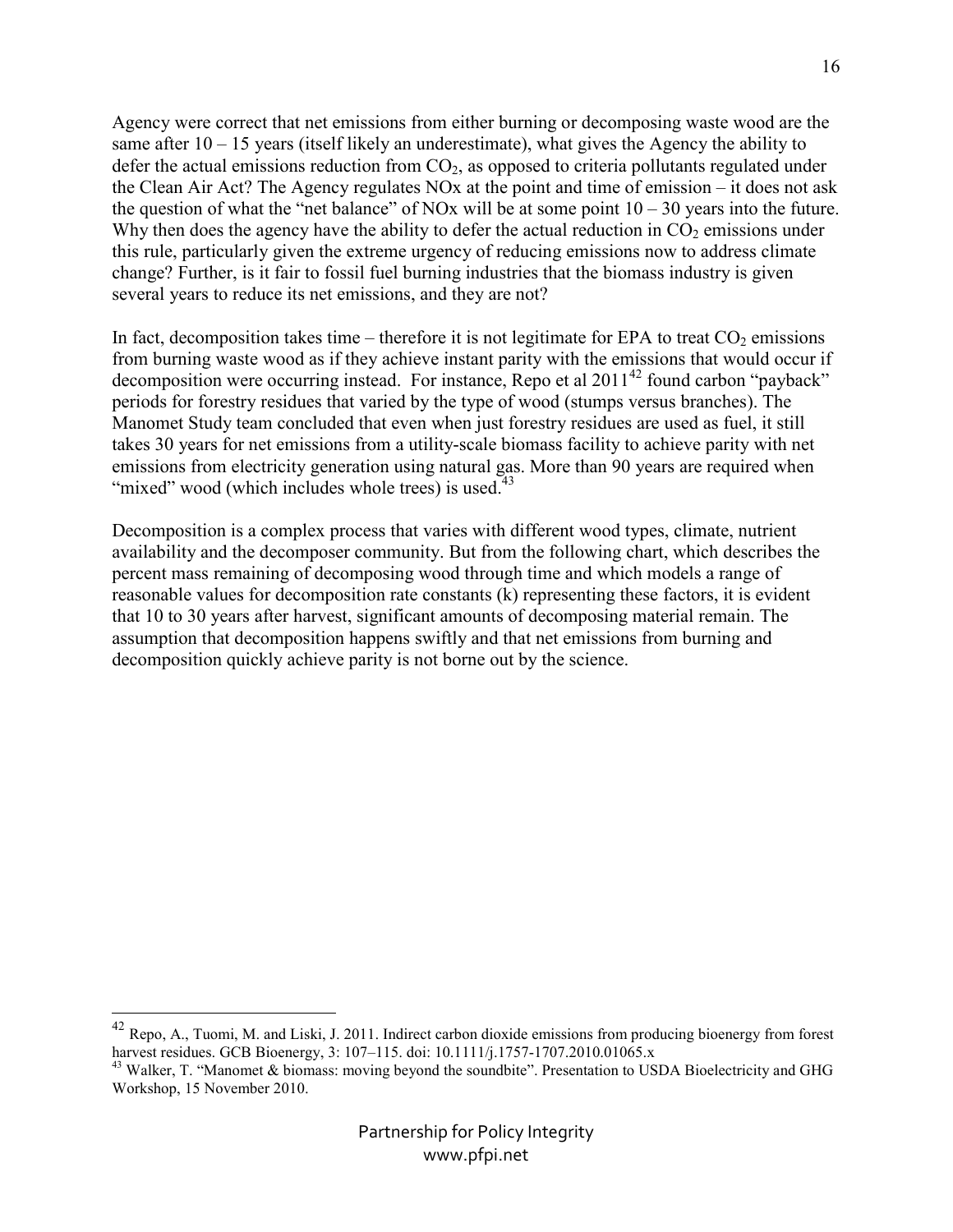Agency were correct that net emissions from either burning or decomposing waste wood are the same after 10 – 15 years (itself likely an underestimate), what gives the Agency the ability to defer the actual emissions reduction from  $CO<sub>2</sub>$ , as opposed to criteria pollutants regulated under the Clean Air Act? The Agency regulates NOx at the point and time of emission – it does not ask the question of what the "net balance" of NOx will be at some point  $10 - 30$  years into the future. Why then does the agency have the ability to defer the actual reduction in  $CO<sub>2</sub>$  emissions under this rule, particularly given the extreme urgency of reducing emissions now to address climate change? Further, is it fair to fossil fuel burning industries that the biomass industry is given several years to reduce its net emissions, and they are not?

In fact, decomposition takes time – therefore it is not legitimate for EPA to treat  $CO<sub>2</sub>$  emissions from burning waste wood as if they achieve instant parity with the emissions that would occur if decomposition were occurring instead. For instance, Repo et al  $2011^{42}$  found carbon "payback" periods for forestry residues that varied by the type of wood (stumps versus branches). The Manomet Study team concluded that even when just forestry residues are used as fuel, it still takes 30 years for net emissions from a utility-scale biomass facility to achieve parity with net emissions from electricity generation using natural gas. More than 90 years are required when "mixed" wood (which includes whole trees) is used.<sup>43</sup>

Decomposition is a complex process that varies with different wood types, climate, nutrient availability and the decomposer community. But from the following chart, which describes the percent mass remaining of decomposing wood through time and which models a range of reasonable values for decomposition rate constants (k) representing these factors, it is evident that 10 to 30 years after harvest, significant amounts of decomposing material remain. The assumption that decomposition happens swiftly and that net emissions from burning and decomposition quickly achieve parity is not borne out by the science.

 $\overline{a}$ 

16

 $^{42}$  Repo, A., Tuomi, M. and Liski, J. 2011. Indirect carbon dioxide emissions from producing bioenergy from forest harvest residues. GCB Bioenergy, 3: 107-115. doi: 10.1111/j.1757-1707.2010.01065.x

<sup>&</sup>lt;sup>43</sup> Walker, T. "Manomet & biomass: moving beyond the soundbite". Presentation to USDA Bioelectricity and GHG Workshop, 15 November 2010.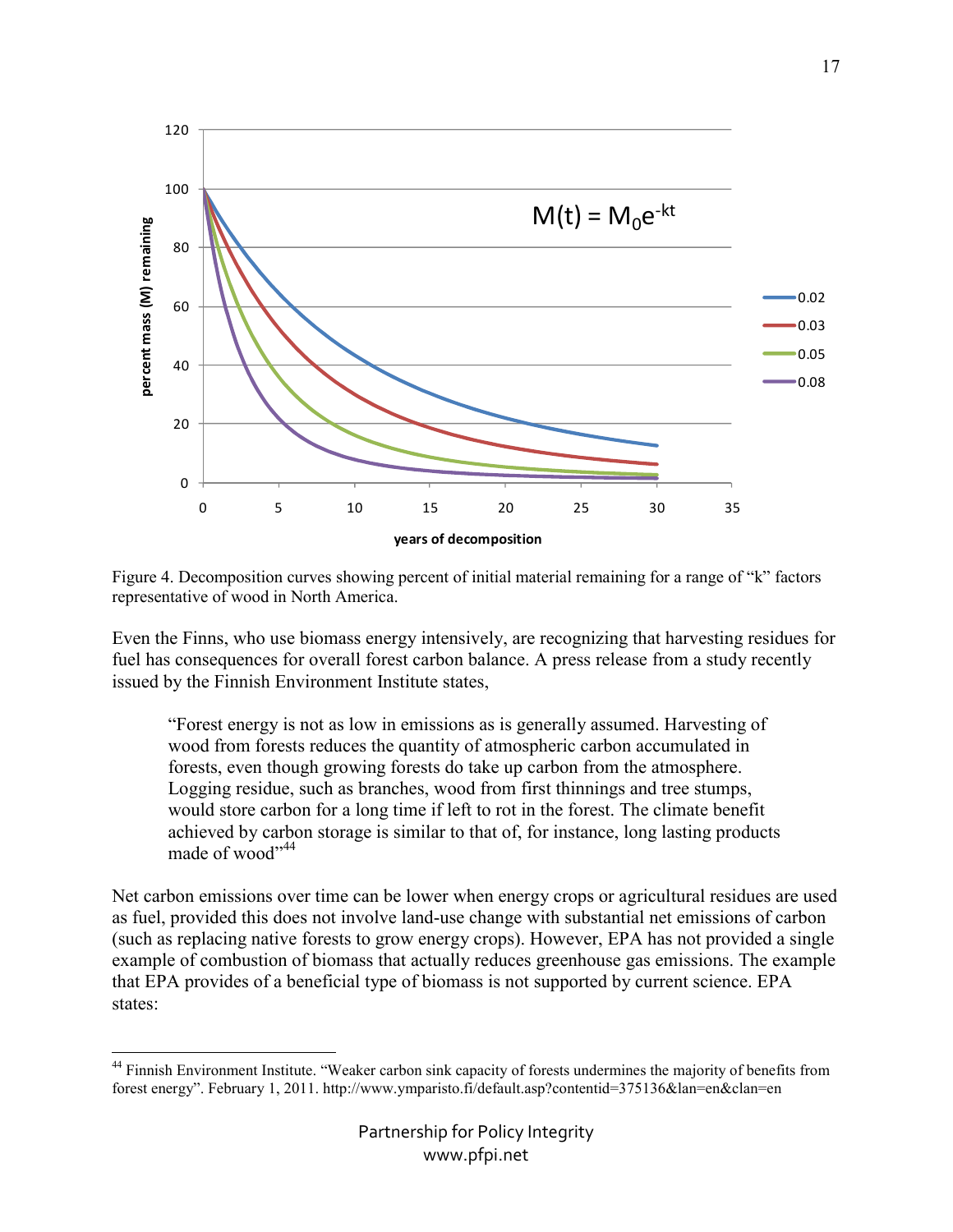

Figure 4. Decomposition curves showing percent of initial material remaining for a range of "k" factors representative of wood in North America.

Even the Finns, who use biomass energy intensively, are recognizing that harvesting residues for fuel has consequences for overall forest carbon balance. A press release from a study recently issued by the Finnish Environment Institute states,

"Forest energy is not as low in emissions as is generally assumed. Harvesting of wood from forests reduces the quantity of atmospheric carbon accumulated in forests, even though growing forests do take up carbon from the atmosphere. Logging residue, such as branches, wood from first thinnings and tree stumps, would store carbon for a long time if left to rot in the forest. The climate benefit achieved by carbon storage is similar to that of, for instance, long lasting products made of wood"<sup>44</sup>

Net carbon emissions over time can be lower when energy crops or agricultural residues are used as fuel, provided this does not involve land-use change with substantial net emissions of carbon (such as replacing native forests to grow energy crops). However, EPA has not provided a single example of combustion of biomass that actually reduces greenhouse gas emissions. The example that EPA provides of a beneficial type of biomass is not supported by current science. EPA states:

 $\overline{a}$ 

<sup>&</sup>lt;sup>44</sup> Finnish Environment Institute. "Weaker carbon sink capacity of forests undermines the majority of benefits from forest energy". February 1, 2011. http://www.ymparisto.fi/default.asp?contentid=375136&lan=en&clan=en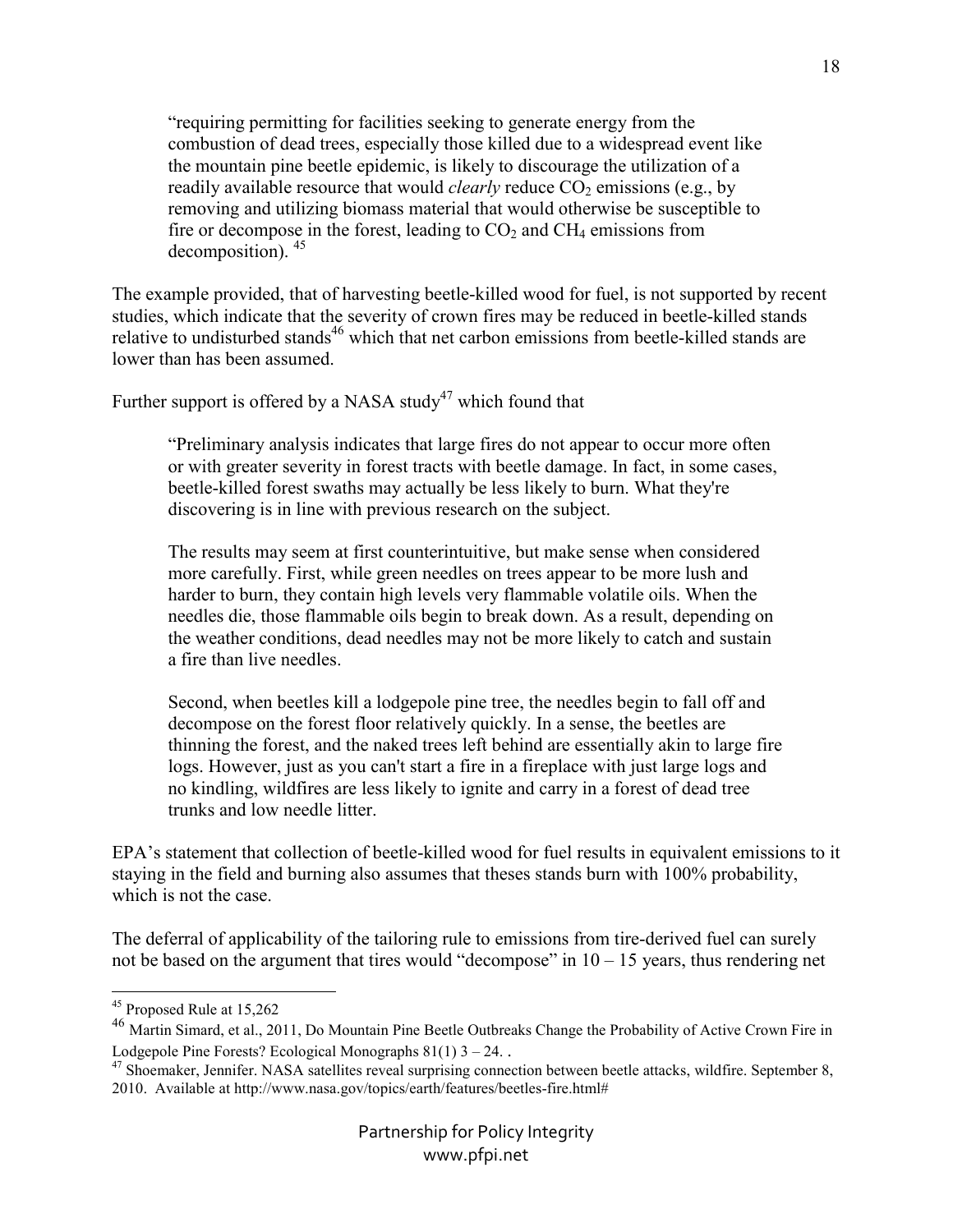"requiring permitting for facilities seeking to generate energy from the combustion of dead trees, especially those killed due to a widespread event like the mountain pine beetle epidemic, is likely to discourage the utilization of a readily available resource that would *clearly* reduce  $CO_2$  emissions (e.g., by removing and utilizing biomass material that would otherwise be susceptible to fire or decompose in the forest, leading to  $CO<sub>2</sub>$  and  $CH<sub>4</sub>$  emissions from decomposition). <sup>45</sup>

The example provided, that of harvesting beetle-killed wood for fuel, is not supported by recent studies, which indicate that the severity of crown fires may be reduced in beetle-killed stands relative to undisturbed stands<sup>46</sup> which that net carbon emissions from beetle-killed stands are lower than has been assumed.

Further support is offered by a NASA study<sup>47</sup> which found that

"Preliminary analysis indicates that large fires do not appear to occur more often or with greater severity in forest tracts with beetle damage. In fact, in some cases, beetle-killed forest swaths may actually be less likely to burn. What they're discovering is in line with previous research on the subject.

The results may seem at first counterintuitive, but make sense when considered more carefully. First, while green needles on trees appear to be more lush and harder to burn, they contain high levels very flammable volatile oils. When the needles die, those flammable oils begin to break down. As a result, depending on the weather conditions, dead needles may not be more likely to catch and sustain a fire than live needles.

Second, when beetles kill a lodgepole pine tree, the needles begin to fall off and decompose on the forest floor relatively quickly. In a sense, the beetles are thinning the forest, and the naked trees left behind are essentially akin to large fire logs. However, just as you can't start a fire in a fireplace with just large logs and no kindling, wildfires are less likely to ignite and carry in a forest of dead tree trunks and low needle litter.

EPA's statement that collection of beetle-killed wood for fuel results in equivalent emissions to it staying in the field and burning also assumes that theses stands burn with 100% probability, which is not the case.

The deferral of applicability of the tailoring rule to emissions from tire-derived fuel can surely not be based on the argument that tires would "decompose" in  $10 - 15$  years, thus rendering net

-

<sup>45</sup> Proposed Rule at 15,262

<sup>46</sup> Martin Simard, et al., 2011, Do Mountain Pine Beetle Outbreaks Change the Probability of Active Crown Fire in Lodgepole Pine Forests? Ecological Monographs  $81(1)$  3 – 24. .

<sup>&</sup>lt;sup>47</sup> Shoemaker, Jennifer. NASA satellites reveal surprising connection between beetle attacks, wildfire. September 8, 2010. Available at http://www.nasa.gov/topics/earth/features/beetles-fire.html#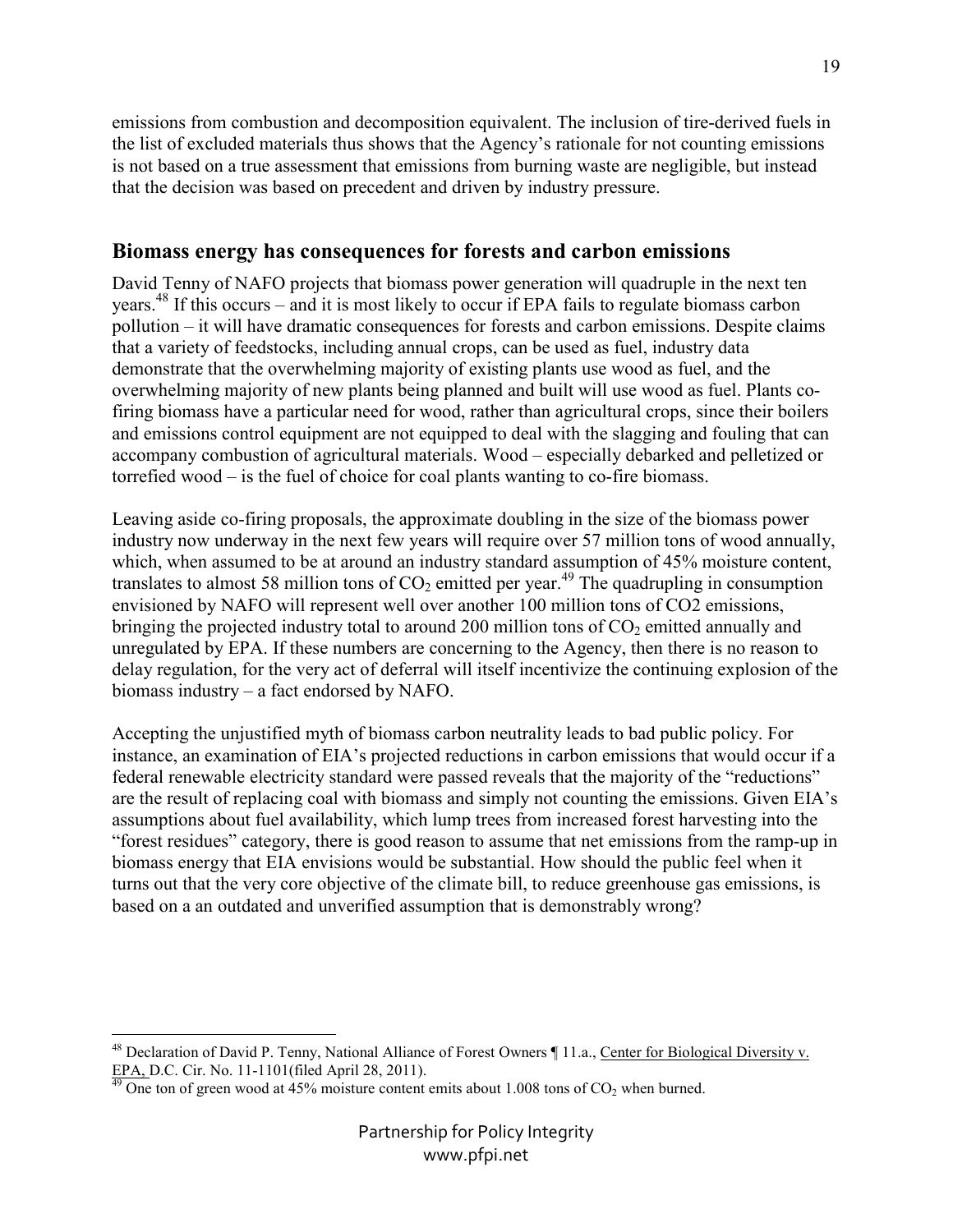emissions from combustion and decomposition equivalent. The inclusion of tire-derived fuels in the list of excluded materials thus shows that the Agency's rationale for not counting emissions is not based on a true assessment that emissions from burning waste are negligible, but instead that the decision was based on precedent and driven by industry pressure.

## **Biomass energy has consequences for forests and carbon emissions**

David Tenny of NAFO projects that biomass power generation will quadruple in the next ten years.<sup>48</sup> If this occurs – and it is most likely to occur if EPA fails to regulate biomass carbon pollution – it will have dramatic consequences for forests and carbon emissions. Despite claims that a variety of feedstocks, including annual crops, can be used as fuel, industry data demonstrate that the overwhelming majority of existing plants use wood as fuel, and the overwhelming majority of new plants being planned and built will use wood as fuel. Plants cofiring biomass have a particular need for wood, rather than agricultural crops, since their boilers and emissions control equipment are not equipped to deal with the slagging and fouling that can accompany combustion of agricultural materials. Wood – especially debarked and pelletized or torrefied wood – is the fuel of choice for coal plants wanting to co-fire biomass.

Leaving aside co-firing proposals, the approximate doubling in the size of the biomass power industry now underway in the next few years will require over 57 million tons of wood annually, which, when assumed to be at around an industry standard assumption of 45% moisture content, translates to almost 58 million tons of  $CO<sub>2</sub>$  emitted per year.<sup>49</sup> The quadrupling in consumption envisioned by NAFO will represent well over another 100 million tons of CO2 emissions, bringing the projected industry total to around 200 million tons of  $CO<sub>2</sub>$  emitted annually and unregulated by EPA. If these numbers are concerning to the Agency, then there is no reason to delay regulation, for the very act of deferral will itself incentivize the continuing explosion of the biomass industry – a fact endorsed by NAFO.

Accepting the unjustified myth of biomass carbon neutrality leads to bad public policy. For instance, an examination of EIA's projected reductions in carbon emissions that would occur if a federal renewable electricity standard were passed reveals that the majority of the "reductions" are the result of replacing coal with biomass and simply not counting the emissions. Given EIA's assumptions about fuel availability, which lump trees from increased forest harvesting into the "forest residues" category, there is good reason to assume that net emissions from the ramp-up in biomass energy that EIA envisions would be substantial. How should the public feel when it turns out that the very core objective of the climate bill, to reduce greenhouse gas emissions, is based on a an outdated and unverified assumption that is demonstrably wrong?

<u>.</u>

19

<sup>&</sup>lt;sup>48</sup> Declaration of David P. Tenny, National Alliance of Forest Owners ¶ 11.a., Center for Biological Diversity v. EPA, D.C. Cir. No. 11-1101(filed April 28, 2011).

 $\frac{49}{19}$  One ton of green wood at 45% moisture content emits about 1.008 tons of CO<sub>2</sub> when burned.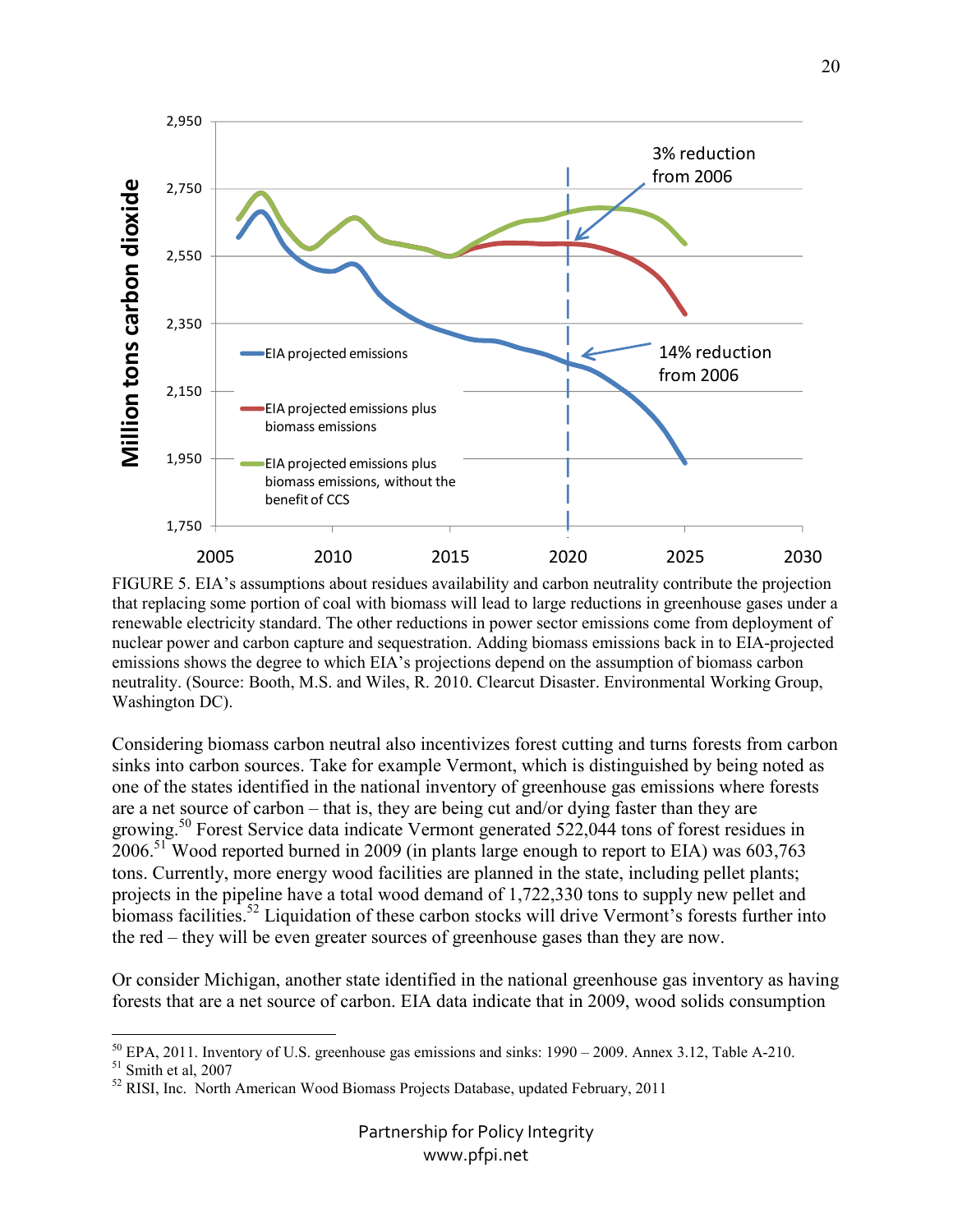

FIGURE 5. EIA's assumptions about residues availability and carbon neutrality contribute the projection that replacing some portion of coal with biomass will lead to large reductions in greenhouse gases under a renewable electricity standard. The other reductions in power sector emissions come from deployment of nuclear power and carbon capture and sequestration. Adding biomass emissions back in to EIA-projected emissions shows the degree to which EIA's projections depend on the assumption of biomass carbon neutrality. (Source: Booth, M.S. and Wiles, R. 2010. Clearcut Disaster. Environmental Working Group, Washington DC).

Considering biomass carbon neutral also incentivizes forest cutting and turns forests from carbon sinks into carbon sources. Take for example Vermont, which is distinguished by being noted as one of the states identified in the national inventory of greenhouse gas emissions where forests are a net source of carbon – that is, they are being cut and/or dying faster than they are growing.<sup>50</sup> Forest Service data indicate Vermont generated 522,044 tons of forest residues in 2006.<sup>51</sup> Wood reported burned in 2009 (in plants large enough to report to EIA) was 603,763 tons. Currently, more energy wood facilities are planned in the state, including pellet plants; projects in the pipeline have a total wood demand of 1,722,330 tons to supply new pellet and biomass facilities.<sup>52</sup> Liquidation of these carbon stocks will drive Vermont's forests further into the red – they will be even greater sources of greenhouse gases than they are now.

Or consider Michigan, another state identified in the national greenhouse gas inventory as having forests that are a net source of carbon. EIA data indicate that in 2009, wood solids consumption

<u>.</u>

 $50$  EPA, 2011. Inventory of U.S. greenhouse gas emissions and sinks: 1990 – 2009. Annex 3.12, Table A-210.

<sup>51</sup> Smith et al, 2007

<sup>&</sup>lt;sup>52</sup> RISI, Inc. North American Wood Biomass Projects Database, updated February, 2011